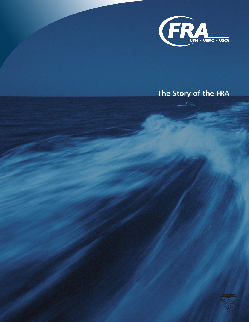

## **The Story of the FRA**

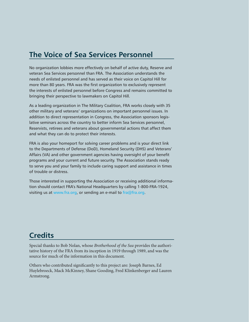#### **The Voice of Sea Services Personnel**

No organization lobbies more effectively on behalf of active duty, Reserve and veteran Sea Services personnel than FRA. The Association understands the needs of enlisted personnel and has served as their voice on Capitol Hill for more than 80 years. FRA was the first organization to exclusively represent the interests of enlisted personnel before Congress and remains committed to bringing their perspective to lawmakers on Capitol Hill.

As a leading organization in The Military Coalition, FRA works closely with 35 other military and veterans' organizations on important personnel issues. In addition to direct representation in Congress, the Association sponsors legislative seminars across the country to better inform Sea Services personnel, Reservists, retirees and veterans about governmental actions that affect them and what they can do to protect their interests.

FRA is also your homeport for solving career problems and is your direct link to the Departments of Defense (DoD), Homeland Security (DHS) and Veterans' Affairs (VA) and other government agencies having oversight of your benefit programs and your current and future security. The Association stands ready to serve you and your family to include caring support and assistance in times of trouble or distress.

Those interested in supporting the Association or receiving additional information should contact FRA's National Headquarters by calling 1-800-FRA-1924, visiting us at [www.fra.org,](http://www.fra.org) or sending an e-mail to [fra@fra.org](mailto:fra%40fra.org?subject=).

#### **Credits**

Special thanks to Bob Nolan, whose *Brotherhood of the Sea* provides the authoritative history of the FRA from its inception in 1919 through 1989, and was the source for much of the information in this document.

Others who contributed significantly to this project are: Joseph Barnes, Ed Huylebroeck, Mack McKinney, Shane Gooding, Fred Klinkenberger and Lauren Armstrong.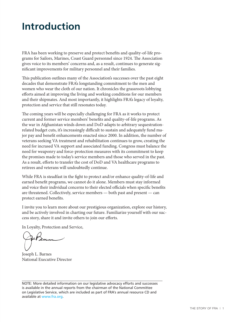# **Introduction**

FRA has been working to preserve and protect benefits and quality-of-life programs for Sailors, Marines, Coast Guard personnel since 1924. The Association gives voice to its members' concerns and, as a result, continues to generate significant improvements for military personnel and their families.

This publication outlines many of the Association's successes over the past eight decades that demonstrate FRA's longstanding commitment to the men and women who wear the cloth of our nation. It chronicles the grassroots lobbying efforts aimed at improving the living and working conditions for our members and their shipmates. And most importantly, it highlights FRA's legacy of loyalty, protection and service that still resonates today.

The coming years will be especially challenging for FRA as it works to protect current and former service members' benefits and quality-of-life programs. As the war in Afghanistan winds down and DoD adapts to arbitrary sequestrationrelated budget cuts, it's increasingly difficult to sustain and adequately fund major pay and benefit enhancements enacted since 2000. In addition, the number of veterans seeking VA treatment and rehabilitation continues to grow, creating the need for incrased VA support and associated funding. Congress must balance the need for weaponry and force-protection measures with its commitment to keep the promises made to today's service members and those who served in the past. As a result, efforts to transfer the cost of DoD and VA healthcare programs to retirees and veterans will undoubtedly continue.

While FRA is steadfast in the fight to protect and/or enhance quality-of-life and earned benefit programs, we cannot do it alone. Members must stay informed and voice their individual concerns to their elected officials when specific benefits are threatened. Collectively, service members — both past and present — can protect earned benefits.

I invite you to learn more about our prestigious organization, explore our history, and be actively involved in charting our future. Familiarize yourself with our success story, share it and invite others to join our efforts.

In Loyalty, Protection and Service,

Joseph L. Barnes National Executive Director

NOTE: More detailed information on our legislative advocacy efforts and successes is available in the annual reports from the chairman of the National Committee on Legislative Service, which are included as part of FRA's annual resource CD and available at [www.fra.org](http://www.fra.org).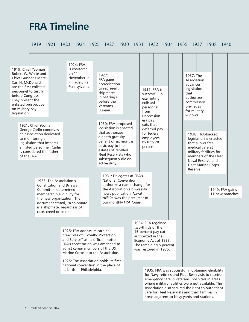# **FRA Timeline**

1919 1921 1923 1924 1925 1927 1930 1931 1932 1934 1935 1937 1938 1940

| 1919: Chief Yeoman<br>Robert W. White and<br><b>Chief Gunner's Mate</b><br>Carl H. McDonald<br>are the first enlisted<br>personnel to testify<br>before Congress.<br>They present the<br>enlisted perspective<br>on military pay<br>legislation. |                                                                                                                                           | 1924: FRA<br>is chartered<br>on 11<br>November in<br>Philadelphia,<br>Pennsylvania.                                                                                                                                                                                                                                                  | 1927:<br>FRA gains<br>accreditation<br>to represent<br>shipmates<br>in hearings<br>before the<br>Veterans<br>Bureau.                                                                                                   |  | exempting<br>enlisted<br>personnel<br>from<br>Depression-                  | 1932: FRA is<br>successful in                                                                                        | 1937: The<br>Association<br>advances<br>legislation<br>that<br>authorizes<br>commissary<br>privileges<br>for military<br>widows.                                                                                                                                                                                     |                                     |  |
|--------------------------------------------------------------------------------------------------------------------------------------------------------------------------------------------------------------------------------------------------|-------------------------------------------------------------------------------------------------------------------------------------------|--------------------------------------------------------------------------------------------------------------------------------------------------------------------------------------------------------------------------------------------------------------------------------------------------------------------------------------|------------------------------------------------------------------------------------------------------------------------------------------------------------------------------------------------------------------------|--|----------------------------------------------------------------------------|----------------------------------------------------------------------------------------------------------------------|----------------------------------------------------------------------------------------------------------------------------------------------------------------------------------------------------------------------------------------------------------------------------------------------------------------------|-------------------------------------|--|
| 1921: Chief Yeoman<br>to monitoring all<br>of the FRA.                                                                                                                                                                                           | George Carlin conceives<br>an association dedicated<br>legislation that impacts<br>enlisted personnel. Carlin<br>is considered the father |                                                                                                                                                                                                                                                                                                                                      | 1930: FRA-proposed<br>legislation is enacted<br>that authorizes<br>a death gratuity<br>benefit of six months<br>basic pay to the<br>estates of recalled<br>Fleet Reservists who<br>subsequently die on<br>active duty. |  | era pay<br>cuts that<br>for federal<br>employees<br>by 8 to 20<br>percent. | deferred pay                                                                                                         | 1938: FRA-backed<br>legislation is enacted<br>that allows free<br>medical care at<br>military facilities for<br>members of the Fleet<br>Naval Reserve and<br><b>Fleet Marine Corps</b><br>Reserve.                                                                                                                   |                                     |  |
|                                                                                                                                                                                                                                                  | Committee determined<br>race, creed or color."                                                                                            | 1923: The Association's<br><b>Constitution and Bylaws</b><br>membership eligibility for<br>the new organization. The<br>document stated, "a shipmate<br>is a shipmate, regardless of                                                                                                                                                 | 1931: Delegates at FRA's<br><b>National Convention</b><br>authorize a name change for<br>the Association's bi-weekly<br>news publication. Naval<br>Affairs was the precursor of<br>our monthly FRA Today.              |  |                                                                            |                                                                                                                      |                                                                                                                                                                                                                                                                                                                      | 1940: FRA gains<br>11 new branches. |  |
|                                                                                                                                                                                                                                                  |                                                                                                                                           | 1925: FRA adopts its cardinal<br>principles of "Loyalty, Protection<br>and Service" as its official motto.<br>FRA's constitution was amended to<br>admit career members of the US<br>Marine Corps into the Association.<br>1925: The Association holds its first<br>national convention in the place of<br>its birth - Philadelphia. |                                                                                                                                                                                                                        |  | two-thirds of the<br>authorized in the                                     | 1934: FRA regained<br>15-percent pay cut<br>Economy Act of 1933.<br>The remaining 5 percent<br>was restored in 1935. | 1935: FRA was successful in obtaining eligibility<br>for Navy retirees and Fleet Reservists to receive<br>emergency care in veterans' hospitals in areas<br>where military facilities were not available. The<br>Association also secured the right to outpatient<br>care for Fleet Reservists and their families in |                                     |  |

areas adjacent to Navy yards and stations.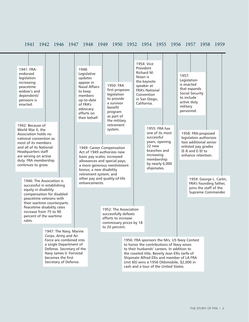#### 1941 1942 1946 1947 1948 1949 1950 1952 1954 1955 1956 1957 1958 1959

| 1941: FRA-<br>endorsed<br>legislation<br>increasing<br>peacetime<br>widow's and<br>dependents'<br>pensions is<br>enacted.                                                                                                                                                                                                                                                                                                                                                                                   |                                                                                                                                                                                                          | 1948:<br>Legislative<br>updates<br>appear in<br><b>Naval Affairs</b><br>to keep<br>members<br>up-to-date<br>of FRA's<br>advocacy<br>efforts on<br>their behalf. |                                                                                                                                                                                                                                                                       | 1950: FRA<br>first proposes<br>legislation<br>to provide<br>a survivor<br>benefit<br>program<br>as part of<br>the military |  | 1954: Vice<br>President<br>Richard M.<br>Nixon is<br>speaker at<br>California.                                                                                                                                                                                                                                                | the keynote<br><b>FRA's National</b><br>Convention<br>in San Diego,                                                                                     |  | 1957:<br>military                                                                                                                           | Legislation<br>is enacted<br>that expands<br>Social Security<br>to include<br>active duty<br>personnel. |  |  |
|-------------------------------------------------------------------------------------------------------------------------------------------------------------------------------------------------------------------------------------------------------------------------------------------------------------------------------------------------------------------------------------------------------------------------------------------------------------------------------------------------------------|----------------------------------------------------------------------------------------------------------------------------------------------------------------------------------------------------------|-----------------------------------------------------------------------------------------------------------------------------------------------------------------|-----------------------------------------------------------------------------------------------------------------------------------------------------------------------------------------------------------------------------------------------------------------------|----------------------------------------------------------------------------------------------------------------------------|--|-------------------------------------------------------------------------------------------------------------------------------------------------------------------------------------------------------------------------------------------------------------------------------------------------------------------------------|---------------------------------------------------------------------------------------------------------------------------------------------------------|--|---------------------------------------------------------------------------------------------------------------------------------------------|---------------------------------------------------------------------------------------------------------|--|--|
| 1942: Because of<br>World War II, the<br>Association holds no<br>national convention as<br>most of its members<br>and all of its National<br>Headquarters staff<br>are serving on active<br>duty. FRA membership<br>continues to grow.<br>1946: The Association is<br>successful in establishing<br>equity in disability<br>compensation for disabled<br>peacetime veterans with<br>their wartime counterparts.<br>Peacetime disability rates<br>increase from 75 to 90<br>percent of the wartime<br>rates. |                                                                                                                                                                                                          |                                                                                                                                                                 | retirement<br>system.<br>1949: Career Compensation<br>Act of 1949 authorizes new<br>basic pay scales; increased<br>allowances and special pays;<br>a more generous reenlistment<br>bonus; a new disability<br>retirement system; and<br>other pay and quality-of-life |                                                                                                                            |  |                                                                                                                                                                                                                                                                                                                               | 1955: FRA has<br>one of its most<br>successful<br>years, opening<br>22 new<br>branches and<br>increasing<br>membership<br>by nearly 6,000<br>shipmates. |  | 1958: FRA-proposed<br>legislation authorizes<br>two additional senior<br>enlisted pay grades<br>$(E-8$ and $E-9$ ) to<br>enhance retention. |                                                                                                         |  |  |
|                                                                                                                                                                                                                                                                                                                                                                                                                                                                                                             |                                                                                                                                                                                                          | enhancements.                                                                                                                                                   |                                                                                                                                                                                                                                                                       |                                                                                                                            |  |                                                                                                                                                                                                                                                                                                                               |                                                                                                                                                         |  |                                                                                                                                             | 1959: George L. Carlin,<br>FRA's founding father,<br>joins the staff of the<br>Supreme Commander.       |  |  |
|                                                                                                                                                                                                                                                                                                                                                                                                                                                                                                             |                                                                                                                                                                                                          |                                                                                                                                                                 | 1952: The Association<br>successfully defeats<br>efforts to increase<br>commissary prices by 18<br>to 20 percent.                                                                                                                                                     |                                                                                                                            |  |                                                                                                                                                                                                                                                                                                                               |                                                                                                                                                         |  |                                                                                                                                             |                                                                                                         |  |  |
|                                                                                                                                                                                                                                                                                                                                                                                                                                                                                                             | 1947: The Navy, Marine<br>Corps, Army and Air<br>Force are combined into<br>a single Department of<br>Defense. Secretary of the<br>Navy James V. Forrestal<br>becomes the first<br>Secretary of Defense. |                                                                                                                                                                 |                                                                                                                                                                                                                                                                       |                                                                                                                            |  | 1956: FRA sponsors the Mrs. US Navy Contest<br>to honor the contributions of Navy wives<br>to their husbands' careers. In addition to<br>the coveted title, Beverly Jean Ellis (wife of<br>Shipmate Alfred Ellis and member of LA FRA<br>Unit 60) wins a 1956 Oldsmobile, \$2,000 in<br>cash and a tour of the United States. |                                                                                                                                                         |  |                                                                                                                                             |                                                                                                         |  |  |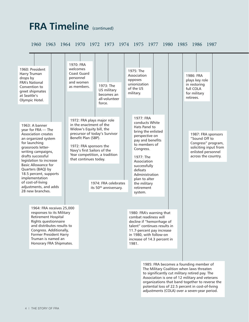# **FRA Timeline** (continued)

1960 1963 1964 1970 1972 1973 1974 1975 1977 1980 1985 1986 1987

| 1960: President<br>Harry Truman<br>drops by<br><b>FRA's National</b><br>Convention to<br>greet shipmates<br>at Seattle's<br>Olympic Hotel.                                                                                                                                                                                                                              | 1970: FRA<br>welcomes<br>Coast Guard<br>personnel<br>and women<br>as members.                                                                                                                                                                                | 1973: The<br>US military<br>becomes an<br>all-volunteer<br>force. | 1975: The<br>Association<br>opposes<br>unionization<br>of the US<br>military.                                                                                                                                                                                             | 1986: FRA<br>plays key role<br>in restoring<br>full COLA<br>for military<br>retirees.                                                 |
|-------------------------------------------------------------------------------------------------------------------------------------------------------------------------------------------------------------------------------------------------------------------------------------------------------------------------------------------------------------------------|--------------------------------------------------------------------------------------------------------------------------------------------------------------------------------------------------------------------------------------------------------------|-------------------------------------------------------------------|---------------------------------------------------------------------------------------------------------------------------------------------------------------------------------------------------------------------------------------------------------------------------|---------------------------------------------------------------------------------------------------------------------------------------|
| 1963: A banner<br>year for FRA - The<br><b>Association creates</b><br>an organized system<br>for launching<br>grassroots letter-<br>writing campaigns,<br>drafts successful<br>legislation to increase<br><b>Basic Allowance for</b><br>Quarters (BAQ) by<br>18.5 percent, supports<br>implementation<br>of cost-of-living<br>adjustments, and adds<br>28 new branches. | 1972: FRA plays major role<br>in the enactment of the<br>Widow's Equity bill, the<br>precursor of today's Survivor<br>Benefit Plan (SBP).<br>1972: FRA sponsors the<br>Navy's first Sailors of the<br>Year competition, a tradition<br>that continues today. | 1974: FRA celebrates<br>its 50 <sup>th</sup> anniversary.         | 1977: FRA<br>conducts White<br>Hats Panel to<br>bring the enlisted<br>perspective on<br>pay and benefits<br>to members of<br>Congress.<br>1977: The<br>Association<br>successfully<br>defeats<br>Administration<br>plan to alter<br>the military<br>retirement<br>system. | 1987: FRA sponsors<br>"Sound Off to<br>Congress" program,<br>soliciting input from<br>enlisted personnel<br>across the country.       |
| 1964: FRA receives 25,000<br>responses to its Military<br><b>Retirement Hospital</b><br>Rights questionnaire<br>and distributes results to<br>Congress. Additionally,<br>Former President Harry<br>Truman is named an<br>Honorary FRA Shipmates.                                                                                                                        |                                                                                                                                                                                                                                                              |                                                                   | 1980: FRA's warning that<br>combat readiness will<br>decline if "hemorrhage of<br>talent" continues results in<br>11.7-percent pay increase<br>in 1980, with follow-on<br>increase of 14.3 percent in<br>1981.                                                            | 1985: FRA becomes a founding member of<br>The Military Coalition when laws threaten<br>to significantly cut military retired pay. The |

potential loss of 22.5 percent in cost-of-living adjustments (COLA) over a seven-year period.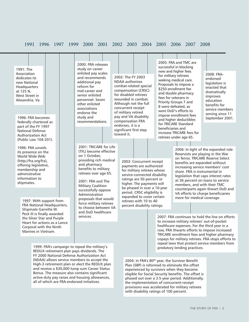#### 1991 1996 1997 1999 2000 2001 2002 2003 2004 2005 2006 2007 2008

2002: The FY 2003 NDAA authorizes combat-related special compensation (CRSC) for disabled retirees wounded in combat. Although not the full concurrent receipt of military retired pay and VA disability compensation FRA endorses, it is a significant first step

1991: The Association dedicates its new National Headquarters at 125 N. West Street in Alexandria, Va.

1996: FRA becomes federally chartered as part of the FY 1997 National Defense Authorization Act (Public Law 104-201).

1996: FRA unveils its presence on the World Wide Web (http://fra.org/fra), offering legislative, membership and administrative information to shipmates.

> 1997: With support from FRA National Headquarters, Shipmate Garrette W. Peck III is finally awarded the Silver Star and Purple Heart for actions as a Lance Corporal with the Ninth Marines in Vietnam.

2000: FRA releases study on career enlisted pay scales and recommends additional pay reform for mid-career and senior enlisted personnel. Seven other enlisted associations endorse the study and recommendations.

2001: TRICARE for Life (TFL) become effective on 1 October, providing rich medical and pharmacy benefits to military retirees over age 65.

2001: FRA and The Military Coalition successfully oppose Administration proposals that would force military retirees to choose between VA and DoD healthcare services.

2003: Concurrent receipt payments are authorized for military retirees whose service-connected disability ratings are 50 percent or higher. The payments will be phased in over a 10-year period. CRSC eligibility is expanded to cover certain retirees with 10 to 40 toward it.

percent disability ratings.

2005: FRA and TMC are successful in blocking new and higher fees for military retirees seeking medical care. Proposals to impose a \$250 enrollment fee and double pharmacy fees for veterans in Priority Groups 7 and 8 were defeated, as were DoD's efforts to impose enrollment fees and higher deductibles for TRICARE Standard beneficiaries and increase TRICARE fees for retirees under age 65.

2008: FRAendorsed legislation is enacted that dramatically improves education benefits for service members serving since 11 September 2001.

2006: In light of the expanded role Reservists are playing in the War on Terror, TRICARE Reserve Select benefits are expanded without increasing service members' cost share. FRA is instrumental in legislation that caps interest rates at 36 percent on loans to service members, and with their TMC counterparts again thwart DoD and VA efforts to charge beneficiaries more for medical coverage.

2007: FRA continues to hold the line on efforts to increase military retirees' out-of-pocket healthcare expenses. For the third year in a row, FRA thwarts efforts to impose increased TRICARE enrollment fees and higher pharmacy copays for military retirees. FRA stops efforts to repeal laws that protect service members from predatory lending practices.

2004: In FRA's 80<sup>th</sup> year, the Survivor Benefit Plan (SBP) is reformed to eliminate the offset experienced by survivors when they become eligible for Social Security benefits. The offset is phased out over a 3.5-year period. Additionally, the implementation of concurrent-receipt provisions was accelerated for military retirees with disability ratings of 100 percent.

1999: FRA's campaign to repeal the military's REDUX retirement plan pays dividends. The FY 2000 National Defense Authorization Act (NDAA) allows service members to accept the High-3 retirement plan or elect the REDUX plan and receive a \$30,000 lump sum Career Status Bonus. The measure also contains significant active duty pay raises and housing allowances, all of which are FRA-endorsed initiatives.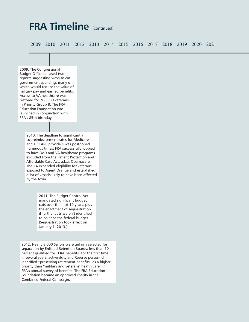## **FRA Timeline** (continued)

2009 2010 2011 2012 2013 2014 2015 2016 2017 2018 2019 2020 2021



separation by Enlisted Retention Boards; less than 10 percent qualified for TERA benefits. For the first time in several years, active duty and Reserve personnel identified "preserving retirement benefits" as a higher priority than "military and veterans' health care" in FRA's annual survey of benefits. The FRA Education Foundation became an approved charity in the Combined Federal Campaign.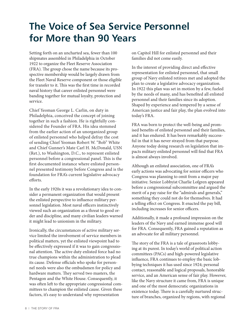# **The Voice of Sea Service Personnel for More than 90 Years**

Setting forth on an uncharted sea, fewer than 100 shipmates assembled in Philadelphia in October 1922 to organize the Fleet Reserve Association (FRA). The group chose the name because its prospective membership would be largely drawn from the Fleet Naval Reserve component or those eligible for transfer to it. This was the first time in recorded naval history that career enlisted personnel were banding together for mutual loyalty, protection and service.

Chief Yeoman George L. Carlin, on duty in Philadelphia, conceived the concept of joining together in such a fashion. He is rightfully considered the Founder of FRA. His idea stemmed from the earlier action of an unorganized group of enlisted personnel who helped defray the cost of sending Chief Yeoman Robert W. "Bob" White and Chief Gunner's Mate Carl H. McDonald, USN (Ret.), to Washington, D.C., to represent enlisted personnel before a congressional panel. This is the first documented instance where enlisted personnel presented testimony before Congress and is the foundation for FRA's current legislative advocacy efforts.

In the early 1920s it was a revolutionary idea to consider a permanent organization that would present the enlisted perspective to influence military personnel legislation. Most naval officers instinctively viewed such an organization as a threat to good order and discipline, and many civilian leaders warned it might lead to unionism in the military.

Ironically, the circumstances of active military service limited the involvement of service members in political matters, yet the enlisted viewpoint had to be effectively expressed if it was to gain congressional attention. The active duty enlisted force had no true champions within the administration to plead its cause. Defense officials who spoke for personnel needs were also the ombudsmen for policy and hardware matters. They served two masters, the Pentagon and the White House. Consequently, it was often left to the appropriate congressional committees to champion the enlisted cause. Given these factors, it's easy to understand why representation

on Capitol Hill for enlisted personnel and their families did not come easily.

In the interest of providing direct and effective representation for enlisted personnel, that small group of Navy enlisted retirees met and adopted the plan to create a legislative advocacy organization. In 1922 this plan was set in motion by a few, fueled by the needs of many, and has benefited all enlisted personnel and their families since its adoption. Shaped by experience and tempered by a sense of American justice and fair play, the plan evolved into today's FRA.

FRA was born to protect the well-being and promised benefits of enlisted personnel and their families, and it has endured. It has been remarkably successful in that it has never strayed from that purpose. Anyone today doing research on legislation that impacts military enlisted personnel will find that FRA is almost always involved.

Although an enlisted association, one of FRA's early actions was advocating for senior officers who Congress was planning to omit from a major pay initiative. Senior Lobbyist Charlie Lofgren appeared before a congressional subcommittee and argued the merit of a pay raise for the "admirals and generals," something they could not do for themselves. It had a telling effect on Congress. It enacted the pay bill, including increases for senior officers.

Additionally, it made a profound impression on the leaders of the Navy and earned immense good will for FRA. Consequently, FRA gained a reputation as an advocate for all military personnel.

The story of the FRA is a tale of grassroots lobbying at its purest. In today's world of political action committees (PACs) and high-powered legislative influence, FRA continues to employ the basic lobbying techniques it has used since 1924; personal contact, reasonable and logical proposals, honorable service, and an American sense of fair play. However, like the Navy structure it came from, FRA is unique and one of the most democratic organizations in existence today. There is a carefully nurtured structure of branches, organized by regions, with regional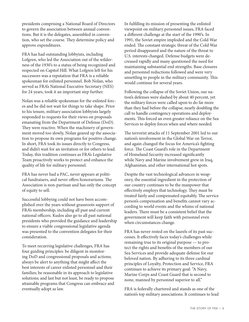presidents comprising a National Board of Directors to govern the association between annual conventions. But it is the delegates, assembled in convention, who set the course. They determine policy and approve expenditures.

FRA has had outstanding lobbyists, including Lofgren, who led the Association out of the wilderness of the 1930's to a status of being recognized and respected on Capitol Hill. What Lofgren left for his successors was a reputation that FRA is a reliable spokesman for enlisted personnel. Bob Nolan, who served as FRA's National Executive Secretary (NES) for 24 years, took it an important step further.

Nolan was a reliable spokesman for the enlisted forces and he did not wait for things to take shape. Prior to his tenure, military association lobbyists largely responded to requests for their views on proposals emanating from the Department of Defense (DoD). They were reactive. When the machinery of government moved too slowly, Nolan geared up the association to propose its own programs for positive change. In short, FRA took its issues directly to Congress, and didn't wait for an invitation or for others to lead. Today, this tradition continues as FRA's Legislative Team proactively works to protect and enhance the quality of life for military personnel.

FRA has never had a PAC, never appears at political fundraisers, and never offers honorariums. The Association is non-partisan and has only the concept of equity to sell.

Successful lobbying could not have been accomplished over the years without grassroots support of FRA's membership, including all past and current national officers. Kudos also go to all past national presidents who provided the guidance and leadership to ensure a viable congressional legislative agenda was presented to the convention delegates for their consideration.

To meet recurring legislative challenges, FRA has four guiding principles: be diligent in monitoring DoD and congressional proposals and actions; always be alert to anything that might affect the best interests of career enlisted personnel and their families; be reasonable in its approach to legislative solutions; and last but not least, be ready to propose attainable programs that Congress can embrace and eventually adopt as law.

In fulfilling its mission of presenting the enlisted viewpoint on military personnel issues, FRA faced a different challenge at the start of the 1990's. In 1991, the Soviet empire imploded and the Cold War ended. The constant strategic threat of the Cold War period disappeared and the nature of the threat to U.S. interests changed. Defense budgets were decreased rapidly and many questioned the need for maintaining substantial end strengths. Base closures and personnel reductions followed and were very unsettling to people in the military community. This would continue for several years.

Following the collapse of the Soviet Union, our nation's defenses were slashed by about 40 percent, yet the military forces were called upon to do far more than they had before the collapse; nearly doubling the call to handle contingency operations and deployments. This forced an even greater reliance on the Sea Services to deploy forces when and where needed.

The terrorist attacks of 11 September 2001 led to our nation's involvement in the Global War on Terror, and again changed the focus for America's fighting force. The Coast Guard's role in the Department of Homeland Security increased significantly while Navy and Marine involvement grew in Iraq, Afghanistan, and other international hot spots.

Despite the vast technological advances in weaponry, the essential ingredient in the protection of our country continues to be the manpower that effectively employs that technology. They must be treated fairly and compensated equitably. The service person's compensation and benefits cannot vary according to world events and the whims of national leaders. There must be a consistent belief that the government will keep faith with personnel even when circumstances change.

FRA has never rested on the laurels of its past successes. It effectively faces today's challenges while remaining true to its original purpose — to protect the rights and benefits of the members of our Sea Services and provide adequate defense for our beloved nation. By adhering to its three cardinal principles of Loyalty, Protection and Service, FRA continues to achieve its primary goal: "A Navy, Marine Corps and Coast Guard that is second to none, manned by personnel superior to all."

FRA is federally chartered and stands as one of the nation's top military associations. It continues to lead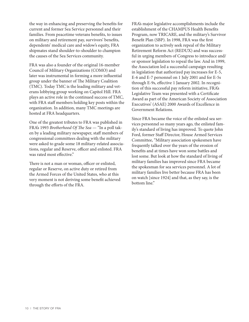the way in enhancing and preserving the benefits for current and former Sea Service personnel and their families. From peacetime veterans benefits, to issues on military and retirement pay, survivors' benefits, dependents' medical care and widow's equity, FRA shipmates stand shoulder-to-shoulder to champion the causes of the Sea Services community.

FRA was also a founder of the original 16-member Council of Military Organizations (COMO) and later was instrumental in forming a more influential group under the banner of The Military Coalition (TMC). Today TMC is the leading military and veterans lobbying group working on Capitol Hill. FRA plays an active role in the continued success of TMC, with FRA staff members holding key posts within the organization. In addition, many TMC meetings are hosted at FRA headquarters.

One of the greatest tributes to FRA was published in FRA's 1993 *Brotherhood Of The Sea* — "In a poll taken by a leading military newspaper, staff members of congressional committees dealing with the military were asked to grade some 18 military-related associations, regular and Reserve, officer and enlisted. FRA was rated most effective."

There is not a man or woman, officer or enlisted, regular or Reserve, on active duty or retired from the Armed Forces of the United States, who at this very moment is not deriving some benefit achieved through the efforts of the FRA.

FRA's major legislative accomplishments include the establishment of the CHAMPUS Health Benefits Program, now TRICARE, and the military's Survivor Benefit Plan (SBP). In 1998, FRA was the first organization to actively seek repeal of the Military Retirement Reform Act (REDUX) and was successful in urging members of Congress to introduce and/ or sponsor legislation to repeal the law. And in 1999, the Association led a successful campaign resulting in legislation that authorized pay increases for E-5, E-6 and E-7 personnel on 1 July 2001 and for E-5s through E-9s, effective 1 January 2002. In recognition of this successful pay reform initiative, FRA's Legislative Team was presented with a Certificate Award as part of the American Society of Association Executives' (ASAE) 2000 Awards of Excellence in Government Relations.

Since FRA became the voice of the enlisted sea services personnel so many years ago, the enlisted family's standard of living has improved. To quote John Ford, former Staff Director, House Armed Services Committee, "Military association spokesmen have frequently talked over the years of the erosion of benefits and at times have won some battles and lost some. But look at how the standard of living of military families has improved since FRA became the spokesman for sea services personnel. A lot of military families live better because FRA has been on watch [since 1924] and that, as they say, is the bottom line."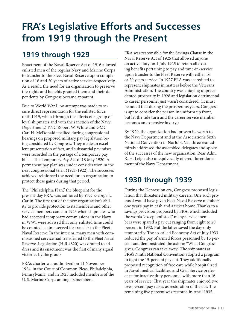# **FRA's Legislative Efforts and Successes from 1919 through the Present**

### **1919 through 1929**

Enactment of the Naval Reserve Act of 1916 allowed enlisted men of the regular Navy and Marine Corps to transfer to the Fleet Naval Reserve upon completion of 16 and 20 years of active service respectively. As a result, the need for an organization to preserve the rights and benefits granted them and their dependents by Congress became apparent.

Due to World War I, no attempt was made to secure direct representation for the enlisted force until 1919, when (through the efforts of a group of loyal shipmates and with the sanction of the Navy Department,) YNC Robert W. White and GMC Carl H. McDonald testified during congressional hearings on proposed military pay legislation being considered by Congress. They made an excellent presentation of fact, and substantial pay raises were recorded in the passage of a temporary pay bill — The Temporary Pay Act of 18 May 1920. A permanent pay plan was under consideration in the next congressional term (1921-1922). The successes achieved reinforced the need for an organization to protect these gains during that period.

The "Philadelphia Plan," the blueprint for the present-day FRA, was authored by YNC George L. Carlin. The first test of the new organization's ability to provide protection to its members and other service members came in 1923 when shipmates who had accepted temporary commissions in the Navy in WWI were advised that only enlisted time could be counted as time served for transfer to the Fleet Naval Reserve. In the interim, many men with commissioned service had transferred to the Fleet Naval Reserve. Legislation (H.R.4820) was drafted to address and its enactment was the first of many signal victories by the group.

FRA's charter was authorized on 11 November 1924, in the Court of Common Pleas, Philadelphia, Pennsylvania, and in 1925 included members of the U. S. Marine Corps among its members.

FRA was responsible for the Savings Clause in the Naval Reserve Act of 1925 that allowed anyone on active duty on 1 July 1925 to retain all existing benefits pertaining to pay and time-in-service upon transfer to the Fleet Reserve with either 16 or 20 years service. In 1927 FRA was accredited to represent shipmates in matters before the Veterans Administration. The country was enjoying unprecedented prosperity in 1928 and legislation detrimental to career personnel just wasn't considered. (It must be noted that during the prosperous years, Congress is apt to consider the person in uniform up front, but let the tide turn and the career service member becomes an expensive luxury.)

By 1929, the organization had proven its worth to the Navy Department and at the Association's Sixth National Convention in Norfolk, Va., three rear admirals addressed the assembled delegates and spoke of the successes of the new organization. Rear Adm. R. H. Leigh also unequivocally offered the endorsement of the Navy Department.

### **1930 through 1939**

During the Depression era, Congress proposed legislation that threatened military careers. One such proposal would have given Fleet Naval Reserve members one year's pay in cash and a ticket home. Thanks to a savings provision proposed by FRA, which included the words "except enlisted," many service members were spared a pay cut ranging from eight to 20 percent in 1932. But the latter saved the day only temporarily. The so-called Economy Act of July 1933 reduced the pay of armed forces personnel by 15 percent and demonstrated the axiom: "What Congress gives, Congress can take away." The shipmates at FRA's Ninth National Convention adopted a program to fight the 15-percent pay cut. They additionally proposed recognition of free care while hospitalized in Naval medical facilities, and Civil Service preference for inactive duty personnel with more than 16 years of service. That year the shipmates enjoyed two five-percent pay raises as restoration of the cut. The remaining five percent was restored in April 1935.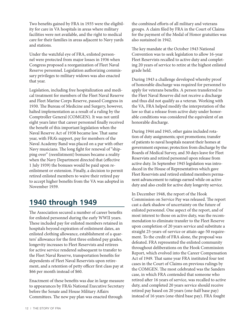Two benefits gained by FRA in 1935 were the eligibility for care in VA hospitals in areas where military facilities were not available, and the right to medical care for their families in areas adjacent to Navy yards and stations.

Under the watchful eye of FRA, enlisted personnel were protected from major losses in 1936 when Congress proposed a reorganization of Fleet Naval Reserve personnel. Legislation authorizing commissary privileges to military widows was also enacted that year.

Legislation, including free hospitalization and medical treatment for members of the Fleet Naval Reserve and Fleet Marine Corps Reserve, passed Congress in 1930. The Bureau of Medicine and Surgery, however, halted implementation as a result of a ruling by the Comptroller General (COMGEN). It was not until eight years later that career personnel finally received the benefit of this important legislation when the Naval Reserve Act of 1938 became law. That same year, with FRA's support, pay for members of the Naval Academy Band was placed on a par with other Navy musicians. The long fight for renewal of "shipping over" (reenlistment) bonuses became a reality when the Navy Department directed that (effective 1 July 1939) the bonuses would be paid upon reenlistment or extension. Finally, a decision to permit retired enlisted members to waive their retired pay to accept higher benefits from the VA was adopted in November 1939.

### **1940 through 1949**

The Association secured a number of career benefits for enlisted personnel during the early WWII years. These included pay for enlisted members retained in hospitals beyond expiration of enlistment dates, an enlisted clothing allowance, establishment of a quarters' allowance for the first three enlisted pay grades, longevity increases to Fleet Reservists and retirees for active service rendered subsequent to transfer to the Fleet Naval Reserve, transportation benefits for dependents of Fleet Naval Reservists upon retirement, and a retention of petty officer first class pay at \$66 per month instead of \$60.

Enactment of these benefits was due in large measure to appearances by FRA's National Executive Secretary before the Senate and House Military Affairs Committees. The new pay plan was enacted through

the combined efforts of all military and veterans groups. A claim filed by FRA in the Court of Claims for the payment of the Medal of Honor gratuities was also sustained in 1942.

The key mandate at the October 1943 National Convention was to seek legislation to allow 16-year Fleet Reservists recalled to active duty and completing 20 years of service to retire at the highest enlisted grade held.

During 1943 a challenge developed whereby proof of honorable discharge was required for personnel to apply for veterans benefits. A person transferred to the Fleet Naval Reserve did not receive a discharge and thus did not qualify as a veteran. Working with the VA, FRA helped modify the interpretation of the law so that a release from active duty under honorable conditions was considered the equivalent of an honorable discharge.

During 1944 and 1945, other gains included rotation of duty assignments; spot promotions; transfer of patients to naval hospitals nearest their homes at government expense; protection from discharge by the Boards of Medical Survey, and 30 days leave for Fleet Reservists and retired personnel upon release from active duty. In September 1945 legislation was introduced in the House of Representatives which gave Fleet Reservists and retired enlisted members permanent advancement to ratings earned while on active duty and also credit for active duty longevity service.

In December 1948, the report of the Hook Commission on Service Pay was released. The report cast a dark shadow of uncertainty on the future of enlisted personnel. One aspect of the report, and of most interest to those on active duty, was the recommendation to eliminate transfer to the Fleet Reserve upon completion of 20 years service and substitute a straight 25-years-of-service or attain-age-50 requirement. To the credit of FRA alone, the proposal was defeated. FRA represented the enlisted community throughout deliberations on the Hook Commission Report, which evolved into the Career Compensation Act of 1949. That same year FRA instituted four test cases in the Court of Claims on previous rulings by the COMGEN. The most celebrated was the Sanders case, in which FRA contended that someone who retired after 16 years of service, was recalled to active duty, and completed 20 years service should receive retired pay based on 20 years (one-half base pay) instead of 16 years (one-third base pay). FRA fought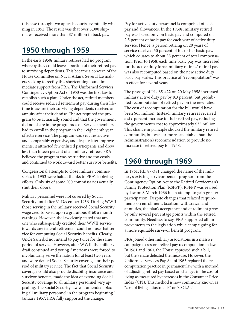this case through two appeals courts, eventually winning in 1952. The result was that over 3,000 shipmates received more than \$7 million in back pay.

#### **1950 through 1959**

In the early 1950s military retirees had no program whereby they could leave a portion of their retired pay to surviving dependents. This became a concern of the House Committee on Naval Affairs. Several lawmakers seeking to rectify this shortcoming found immediate support from FRA. The Uniformed Services Contingency Option Act of 1953 was the first law to establish such a plan. Under the act, retired members could receive reduced retirement pay during their lifetime to assure their surviving dependents received an annuity after their demise. The act required the program to be actuarially sound and that the government did not share in the program's cost. Service members had to enroll in the program in their eighteenth year of active service. The program was very restrictive and comparably expensive, and despite later improvements, it attracted few enlisted participants and drew less than fifteen percent of all military retirees. FRA believed the program was restrictive and too costly and continued to work toward better survivor benefits.

Congressional attempts to close military commissaries in 1953 were halted thanks to FRA's lobbying efforts. Only six of some 200 commissaries actually shut their doors.

Military personnel were not covered by Social Security until after 31 December 1956. During WWII those serving in the military received Social Security wage credits based upon a gratuitous \$160 a month earnings. However, the law clearly stated that anyone who subsequently credited their WWII service towards any federal retirement could not use that service for computing Social Security benefits. Clearly, Uncle Sam did not intend to pay twice for the same period of service. However, after WWII, the military draft continued and young Americans were forced to involuntarily serve the nation for at least two years and were denied Social Security coverage for their period of military service. The fact that Social Security coverage could also provide disability insurance and survivor benefits, made the idea of extending Social Security coverage to all military personnel very appealing. The Social Security law was amended, placing all military personnel in the program beginning 1 January 1957. FRA fully supported the change.

Pay for active duty personnel is comprised of basic pay and allowances. In the 1950s, military retired pay was based only on basic pay and computed on 2.5 percent of basic pay for each year of active duty service. Hence, a person retiring on 20 years of service received 50 percent of his or her basic pay, which equates to about 35 percent of total compensation. Prior to 1958, each time basic pay was increased for the active duty force, military retirees' retired pay was also recomputed based on the new active duty basic pay scales. This practice of "recomputation" was in effect for several years.

The passage of P.L. 85-422 on 20 May 1958 increased military active duty pay by 8.3 percent, but prohibited recomputation of retired pay on the new rates. The cost of recomputation for the bill would have been \$65 million. Instead, military retirees received a six-percent increase to their retired pay, reducing the government's cost to approximately \$35 million. This change in principle shocked the military retired community, but was far more acceptable than the Administration's recommendation to provide no increase in retired pay for 1958.

#### **1960 through 1969**

In 1961, P.L. 87-381 changed the name of the military's existing survivor benefit program from the Contingency Option Act to the Retired Serviceman's Family Protection Plan (RSFPP). RSFPP was revised by law on 8 March 1966 in an attempt to gain greater participation. Despite changes that relaxed requirements on enrollment, taxation, withdrawal and annuities, the plan's acceptance and enrollment grew by only several percentage points within the retired community. Needless to say, FRA supported all improvements to the legislation while campaigning for a more equitable survivor benefit program.

FRA joined other military associations in a massive campaign to restore retired pay recomputation in law. In 1961 and 1963, the House approved such a bill, but the Senate defeated the measure. However, the Uniformed Services Pay Act of 1963 replaced the recomputation practice in permanent law with a method of adjusting retired pay based on changes in the cost of living as measured by increases in the Consumer Price Index (CPI). This method is now commonly known as "cost of living adjustments" or "COLAs."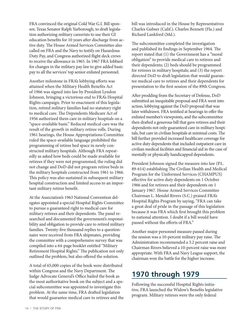FRA convinced the original Cold War G.I. Bill sponsor, Texas Senator Ralph Yarborough, to draft legislation authorizing military careerists to use their GI education benefits for 10 years after discharge from active duty. The House Armed Services Committee also called on FRA and the Navy to testify on Hazardous Duty Pay, and Congress authorized flight deck crews to receive the allowance in 1965. In 1967 FRA lobbied for changes in the military pay law to give added basic pay to all the services' top senior enlisted personnel.

Another milestone in FRA's lobbying efforts was attained when the Military Health Benefits Act of 1966 was signed into law by President Lyndon Johnson, bringing a victorious end to FRA's Hospital Rights campaign. Prior to enactment of this legislation, retired military families had no statutory right to medical care. The Dependents Medicare Act of 1956 authorized them care in military hospitals on a "space-available basis." Reduced medical care was the result of the growth in military retiree rolls. During 1961 hearings, the House Appropriations Committee ruled the space-available language prohibited the programming of retiree bed space in newly constructed military hospitals. Although FRA repeatedly as asked how beds could be made available for retirees if they were not programmed, the ruling did not change and DoD did not program retiree beds in the military hospitals constructed from 1961 to 1966. This policy was also sustained in subsequent military hospital construction and limited access to an important military retiree benefit.

At the Association's 1963 National Convention delegates appointed a special Hospital Rights Committee to pursue a guaranteed right to medical care for military retirees and their dependents. The panel researched and documented the government's responsibility and obligation to provide care to retired military families. Twenty-five thousand replies to a questionnaire were received from FRA shipmates, providing the committee with a comprehensive survey that was compiled into a 64-page booklet entitled "Military Retirement Hospital Rights." The publication not only outlined the problem, but also offered the solution.

A total of 65,000 copies of the book were distributed within Congress and the Navy Department. The Judge Advocate General's Office hailed the book as the most authoritative book on the subject and a special subcommittee was appointed to investigate this problem. At the same time, FRA drafted legislation that would guarantee medical care to retirees and the bill was introduced in the House by Representatives Charles Gubser (Calif.), Charles Bennett (Fla.) and Richard Lankford (Md.).

The subcommittee completed the investigation and published its findings in September 1964. The report stated that (1) the Government has a "moral obligation" to provide medical care to retirees and their dependents; (2) beds should be programmed for retirees in military hospitals; and (3) the report directed DoD to draft legislation that would guarantee medical care to retirees and their dependents for presentation to the first session of the 89th Congress.

After prodding from the Secretary of Defense, DoD submitted an inequitable proposal and FRA went into action, lobbying against the DoD proposal that was later withdrawn. FRA testified at hearings to offer the enlisted member's viewpoints, and the subcommittee then drafted a generous bill that gave retirees and their dependents not only guaranteed care in military hospitals, but care in civilian hospitals at minimal costs. The bill further provided increased healthcare coverage for active duty dependents that included outpatient care in civilian medical facilities and financial aid in the case of mentally or physically handicapped dependents.

President Johnson signed the measure into law (P.L. 89-614) establishing The Civilian Health and Medical Program for the Uniformed Services (CHAMPUS) effective for active duty dependents on 1 October 1966 and for retirees and their dependents on 1 January 1967. House Armed Services Committee Chairman L. Mendel Rivers (S.C.) praised FRA's Hospital Rights Program by saying, "FRA can take a great deal of pride in the passage of this legislation because it was FRA which first brought this problem to national attention. I doubt if a bill would have passed without the efforts of FRA."

Another major personnel measure passed during the session was a 10-percent military pay raise. The Administration recommended a 3.2 percent raise and Chairman Rivers believed a 10-percent raise was more appropriate. With FRA and Navy League support, the chairman won the battle for the higher increase.

### **1970 through 1979**

Following the successful Hospital Rights initiative, FRA launched the Widow's Benefits legislative program. Military retirees were the only federal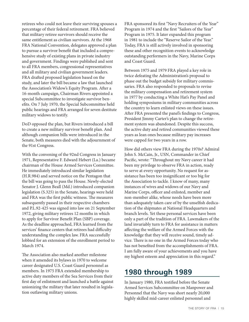retirees who could not leave their surviving spouses a percentage of their federal retirement. FRA believed that military retiree survivors should receive the same entitlement as civilian survivors. At the 1968 FRA National Convention, delegates approved a plan to pursue a survivor benefit that included a comprehensive study of existing plans in private industry and government. Findings were published and sent to all FRA members, congressional representatives and all military and civilian government leaders. FRA drafted proposed legislation based on the study, and later the bill became a law that launched the Association's Widow's Equity Program. After a 16-month campaign, Chairman Rivers appointed a special Subcommittee to investigate survivor benefits. On 7 July 1970, the Special Subcommittee held public hearings and FRA arranged for seven destitute military widows to testify.

DoD opposed the plan, but Rivers introduced a bill to create a new military survivor benefit plan. And although companion bills were introduced in the Senate, both measures died with the adjournment of the 91st Congress.

With the convening of the 92nd Congress in January 1971, Representative F. Edward Hebert (La.) became chairman of the House Armed Services Committee. He immediately introduced similar legislation (H.R.984) and served notice on the Pentagon that the bill was going to pass the House. Newly-elected Senator J. Glenn Beall (Md.) introduced companion legislation (S.325) in the Senate, hearings were held and FRA was the first public witness. The measures subsequently passed in their respective chambers and P.L.92-425 was signed into law on 21 September 1972, giving military retirees 12 months in which to apply for Survivor Benefit Plan (SBP) coverage. As the deadline approached, FRA learned from the services' finance centers that retirees had difficulty understanding the complex law. FRA successfully lobbied for an extension of the enrollment period to March 1974.

The Association also marked another milestone when it amended its bylaws in 1970 to welcome career designated U.S. Coast Guard personnel as members. In 1975 FRA extended membership to active duty members of the Sea Services from their first day of enlistment and launched a battle against unionizing the military that later resulted in legislation outlawing military unions.

FRA sponsored its first "Navy Recruiters of the Year" Program in 1974 and the first "Sailors of the Year" Program in 1975. It later expanded this program in 1981 to include the "Reserve Sailor of the Year." Today, FRA is still actively involved in sponsoring these and other recognition events to acknowledge outstanding performers in the Navy, Marine Corps and Coast Guard.

Between 1975 and 1979 FRA played a key role in twice defeating the Administration's proposal to phase out the budget subsidy for military commissaries. FRA also responded to proposals to revise the military compensation and retirement system in 1977 by conducting a White Hat's Pay Panel and holding symposiums in military communities across the country to learn enlisted views on these issues. After FRA presented the panel's findings to Congress, President Jimmy Carter's plan to change the retirement system was abandoned. Despite this success, the active duty and retired communities viewed these years as lean ones because military pay increases were capped for two years in a row.

How did others view FRA during the 1970s? Admiral John S. McCain, Jr., USN, Commander in Chief Pacific, wrote: "Throughout my Navy career it had been my privilege to observe FRA in action, ready to serve at every opportunity. No request for assistance has been too insignificant or too big for the Association to tackle. I know of many, many instances of wives and widows of our Navy and Marine Corps, officer and enlisted, member and non-member alike, whose needs have been more than adequately taken care of by the unselfish dedication of the shipmates at National Headquarters and branch levels. Yet these personal services have been only a part of the tradition of FRA. Lawmakers of the land invariably turn to FRA for assistance in matters affecting the welfare of the Armed Forces with the knowledge that they will receive sound, timely advice. There is no one in the Armed Forces today who has not benefited from the accomplishments of FRA. I am fully aware of your achievements and you have my highest esteem and appreciation in this regard."

#### **1980 through 1989**

In January 1980, FRA testified before the Senate Armed Services Subcommittee on Manpower and Personnel that the Navy was short nearly 20,000 highly skilled mid-career enlisted personnel and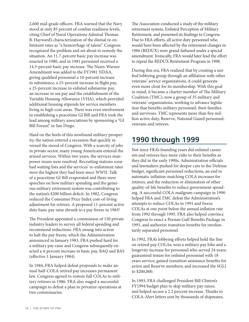2,600 mid-grade officers. FRA warned that the Navy stood at only 85 percent of combat readiness levels, citing Chief of Naval Operations Admiral Thomas B. Hayward's characterization of the dismal re-enlistment rates as "a hemorrhage of talent." Congress recognized the problem and set about to remedy the situation. An 11.7-percent basic pay increase was enacted in 1980, and in 1981 personnel received a 14.3-percent basic pay increase. The Nunn-Warner Amendment was added to the FY1981 NDAA, giving qualified personnel a 10-percent increase in subsistence, a 25-percent increase in flight pay, a 25-percent increase in enlisted submarine pay, an increase in sea pay and the establishment of the Variable Housing Allowance (VHA), which provided additional housing stipends for service members living in high-cost areas. There was even involvement in establishing a peacetime GI Bill and FRA took the lead among military associations by sponsoring a "GI Bill Forum" in San Diego.

Hard on the heels of this newfound military prosperity, the nation entered a recession that quickly reversed the mood of Congress. With a scarcity of jobs in private sector, many young Americans entered the armed services. Within two years, the services manpower issues were resolved. Recruiting stations soon had waiting lists and the services' re-enlistment rates were the highest they had been since WWII. Talk of a peacetime GI Bill evaporated and there were speeches on how military spending and the generous military retirement system was contributing to the nation's \$200 billion deficit. In 1982, Congress reduced the Consumer Price Index cost-of-living adjustment for retirees. A proposed 11-percent active duty basic pay raise shrunk to a pay freeze in 1983!

The President appointed a commission of 150 private industry leaders to survey all federal spending and recommend reductions. FRA swung into action to halt the pay freeze, which the Administration announced in January 1983. FRA pushed hard for a military pay raise and Congress subsequently enacted a 4-percent increase in basic pay, BAQ and BAS (effective 1 January 1984).

In 1984, FRA helped defeat proposals to make annual half-COLA retired pay increases permanent law. Congress agreed to restore full COLAs to military retirees in 1986. FRA also waged a successful campaign to defeat a plan to privatize operations at two commissaries.

The Association conducted a study of the military retirement system, Enlisted Perception of Military Retirement, and presented its findings to Congress. Due to FRA efforts, all active duty personnel who would have been affected by the retirement changes in 1986 (REDUX) were grand-fathered under a special amendment. Ironically, FRA would later lead the effort to repeal the REDUX Retirement Program in 1998.

During this era, FRA realized that by creating a unified lobbying group through an affiliation with other veterans' service organizations, it could generate even more clout for its membership. With this goal in mind, it became a charter member of The Military Coalition (TMC), now a group of 35 military and veterans' organizations, working to advance legislation that benefits military personnel, their families and survivors. TMC represents more than five million active duty, Reserve, National Guard personnel, veterans and retirees.

### **1990 through 1999**

Not since FRA's founding years did enlisted careerists and retirees face more risks to their benefits as they did in the early 1990s. Administration officials and lawmakers pushed for deeper cuts to the Defense budget, significant personnel reductions, an end to automatic inflation-matching COLA increases for retirees, and the reduction or elimination of other quality-of-life benefits to reduce government spending. A successful COLA mailgram campaign in 1990 helped FRA and TMC defeat the Administration's attempts to reduce COLAs in 1991 and freeze COLAs at one point below the annual inflation rate from 1992 through 1995. FRA also helped convince Congress to enact a Persian Gulf Benefits Package in 1991, and authorize transition benefits for involuntarily separated personnel.

In 1992, FRA's lobbying efforts helped hold the line on retired pay COLAs; won a military pay hike and a longevity increase for personnel who served 24 years; guaranteed tenure for enlisted personnel with 18 years service; gained transition assistance benefits for active and Reserve members; and increased the SGLI to \$200,000.

In 1993, FRA challenged President Bill Clinton's FY1994 budget plan to skip military pay raises, and helped secure a 2.2 percent increase. Thanks to COLA-Alert letters sent by thousands of shipmates,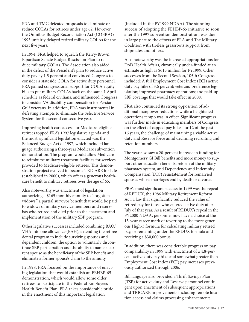FRA and TMC defeated proposals to eliminate or reduce COLAs for retirees under age 62. However the Omnibus Budget Reconciliation Act (COBRA) of 1993 unfairly delayed retired military COLAs for the next five years.

In 1994, FRA helped to squelch the Kerry-Brown Bipartisan Senate Budget Rescission Plan to reduce military COLAs. The Association also aided in the defeat of the President's plan to reduce active duty pay by 1.5 percent and convinced Congress to consider a stateside COLA for active duty personnel. FRA gained congressional support for COLA equity bills to put military COLAs back on the same 1 April schedule as federal civilians, and influenced Congress to consider VA disability compensation for Persian Gulf veterans. In addition, FRA was instrumental in defeating attempts to eliminate the Selective Service System for the second consecutive year.

Improving health care access for Medicare-eligible retirees topped FRA's 1997 legislative agenda and the most significant legislation enacted was the Balanced Budget Act of 1997, which included language authorizing a three-year Medicare subvention demonstration. The program would allow Medicare to reimburse military treatment facilities for services provided to Medicare-eligible retirees. This demonstration project evolved to become TRICARE for Life (established in 2000), which offers a generous healthcare benefit to military retirees over the age of 65.

Also noteworthy was enactment of legislation authorizing a \$165 monthly annuity to "forgotten widows," a partial survivor benefit that would be paid to widows of military service members and reservists who retired and died prior to the enactment and implementation of the military SBP program.

Other legislative successes included combining BAQ/ VHA into one allowance (BAH), extending the retiree dental program to include surviving spouses and dependent children, the option to voluntarily discontinue SBP participation and the ability to name a current spouse as the beneficiary of the SBP benefit and eliminate a former spouse's claim to the annuity.

In 1998, FRA focused on the importance of enacting legislation that would establish an FEHBP-65 demonstration, which would allow some older retirees to participate in the Federal Employees Health Benefit Plan. FRA takes considerable pride in the enactment of this important legislation

(included in the FY1999 NDAA). The stunning success of adopting the FEHBP-65 initiative so soon after the 1997 subvention demonstration, was due in large part to the efforts of FRA and The Military Coalition with tireless grassroots support from shipmates and others.

Also noteworthy was the increased appropriations for DoD Health Affairs, chronically under-funded at an estimate as high as \$613 million for FY1999. Other successes from the Second Session, 105th Congress included: A full Employment Cost Index (ECI) active duty pay hike of 3.6 percent; veterans' preference legislation; improved pharmacy operations; and paid-up SBP coverage that would take effect in 2008.

FRA also continued its strong opposition of additional manpower reductions while a heightened operations tempo was in effect. Significant progress was further made in educating members of Congress on the effect of capped pay hikes for 12 of the past 16 years, the challenge of maintaining a viable active duty and Reserve force amid declining recruiting and retention numbers.

The year also saw a 20-percent increase in funding for Montgomery GI Bill benefits and more money to support other education benefits, reform of the military pharmacy system, and Dependency and Indemnity Compensation (DIC) reinstatement for remarried spouses whose marriages end by death or divorce.

FRA's most significant success in 1999 was the repeal of REDUX, the 1986 Military Retirement Reform Act, a law that significantly reduced the value of retired pay for those who entered active duty after July of that year. As a result of REDUX's repeal in the FY2000 NDAA, personnel now have a choice at the 15-year career mark of reverting to the more generous High-3 formula for calculating military retired pay, or remaining under the REDUX formula and receiving a \$30,000 bonus.

In addition, there was considerable progress on pay comparability in 1999 with enactment of a 4.8-percent active duty pay hike and somewhat greater than Employment Cost Index (ECI) pay increases previously authorized through 2006.

Bill language also provided a Thrift Savings Plan (TSP) for active duty and Reserve personnel contingent upon enactment of subsequent appropriations and TRICARE improvements including remote location access and claims processing enhancements.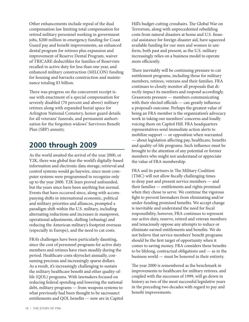Other enhancements include repeal of the dual compensation law limiting total compensation for retired military personnel working in government jobs, \$200 million in emergency funding for Coast Guard pay and benefit improvements, an enhanced dental program for retirees plus expansion and improvement of Reserve Dental Program, waiver of TRICARE deductibles for families of Reservists recalled to active duty for less than one year, and enhanced military construction (MILCON) funding for housing and barracks construction and maintenance totaling \$3 billion.

There was progress on the concurrent receipt issue with enactment of a special compensation for severely disabled (70 percent and above) military retirees along with expanded burial space for Arlington National Cemetery, honor guard details for all veterans' funerals, and permanent authorization for the forgotten widows' Survivors Benefit Plan (SBP) annuity.

### **2000 through 2009**

As the world awaited the arrival of the year 2000, or Y2K, there was global fear the world's digitally-based information and electronic data storage, retrieval and control systems would go haywire, since most computer systems were programmed to recognize only up to the year 2000. Y2K fears proved unfounded, but the years since have been anything but normal. Events that have occurred since, along with accompanying shifts in international economic, political and military priorities and alliances, prompted a paradigm shift within the U.S. military, including alternating reductions and increases in manpower, operational adjustments, shifting (rebasing) and reducing the American military's footprint overseas (especially in Europe), and the need to cut costs.

FRA's challenges have been particularly daunting, since the cost of personnel programs for active duty members and retirees have risen steadily during the period. Healthcare costs skyrocket annually, consuming precious and increasingly sparse dollars. As a result, it's increasingly challenging to sustain the military healthcare benefit and other quality-oflife (QOL) programs. With lawmakers focused on reducing federal spending and lowering the national debt, military programs — from weapons systems to what previously had been thought to be sacrosanct entitlements and QOL benefits — now are in Capitol Hill's budget-cutting crosshairs. The Global War on Terrorism, along with unprecedented rebuilding costs from natural disasters at home and U.S. financial assistance for foreign disaster aid, have squeezed available funding for our men and women in uniform, both past and present, as the U.S. military increasingly relies on a business model to operate more efficiently.

There inevitably will be continuing pressure to cut entitlement programs, including those for military members, retirees, veterans and their families. FRA continues to closely monitor all proposals that directly impact its members and respond accordingly. Grassroots pressure — members communicating with their elected officials — can greatly influence a proposal's outcome. Perhaps the greatest value of being an FRA member is the organization's advocacy work in taking our members' concerns and loudly voicing them on Capitol Hill. FRA headquarters representatives send immediate action alerts to mobilize support — or opposition when warranted — about legislation affecting pay, healthcare, benefits and quality-of-life programs. Such influence must be brought to the attention of any potential or former members who might not understand or appreciate the value of FRA membership.

FRA and its partners in The Military Coalition (TMC) will not allow fiscally challenging times to deny past and present service members — and their families — entitlements and rights promised when they chose to serve. We continue the vigorous fight to prevent lawmakers from eliminating and/or under-funding promised benefits. We accept change is inevitable and understand the need for fiscal responsibility, however, FRA continues to represent our active duty, reserve, retired and veteran members and tenaciously oppose any attempts to reduce or eliminate earned entitlements and benefits. We do not believe that service members' benefit programs should be the first target of opportunity when it comes to saving money. FRA considers these benefits to be lifelong, contractual obligations and — as in the business world — must be honored in their entirety.

The year 2000 is remembered as the benchmark in improvements to healthcare for military retirees, and coupled with the successes of 1999, will go down in history as two of the most successful legislative years in the preceding two decades with regard to pay and benefit improvements.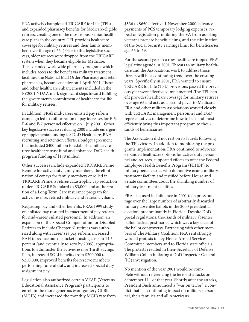FRA actively championed TRICARE for Life (TFL) and expanded pharmacy benefits for Medicare-eligible retirees, creating one of the most robust senior healthcare plans in the country. TFL provides healthcare coverage for military retirees and their family members over the age of 65. (Prior to this legislative success, older retirees were dropped from the TRICARE system when they became eligible for Medicare.) The expanded worldwide pharmacy program, which includes access to the benefit via military treatment facilities, the National Mail Order Pharmacy and retail pharmacies, became effective on 1 April 2001. These and other healthcare enhancements included in the FY2001 NDAA mark significant steps toward fulfilling the government's commitment of healthcare-for-life for military retirees.

In addition, FRA's mid-career enlisted pay reform campaign led to authorization of pay increases for E-5, E-6 and E-7 personnel effective on 1 July 2001. Other key legislative successes during 2000 include emergency supplemental funding for DoD Healthcare, BAH, recruiting and retention efforts, a budget agreement that included \$400 million to establish a military retiree healthcare trust fund and enhanced DoD health program funding of \$178 million.

Other successes include expanded TRICARE Prime Remote for active duty family members, the elimination of copays for family members enrolled in TRICARE Prime, a retiree catastrophic cap reduction under TRICARE Standard to \$3,000, and authorization of a Long Term Care insurance program for active, reserve, retired military and federal civilians.

Regarding pay and other benefits, FRA's 1999 study on enlisted pay resulted in enactment of pay reform for mid-career enlisted personnel. In addition, an expansion of the Special Compensation for Disabled Retirees to include Chapter 61 retirees was authorized along with career sea pay reform, increased BAH to reduce out-of-pocket housing costs to 14.5 percent (and eventually to zero by 2005), appropriations to administer the active/reserve Thrift Savings Plan, increased SGLI benefits from \$200,000 to \$250,000, improved benefits for reserve members performing funeral duty, and increased special duty assignment pay.

Legislation also authorized certain VEAP (Veterans Educational Assistance Program) participants to enroll in the more generous Montgomery GI Bill (MGIB) and increased the monthly MGIB rate from \$536 to \$650 effective 1 November 2000, advance payments of PCS temporary lodging expenses, repeal of legislation prohibiting the VA from assisting veterans prepare benefit claims, and the elimination of the Social Security earnings limit for beneficiaries age 65 to 69.

For the second year in a row, healthcare topped FRA's legislative agenda in 2001. Threats to military healthcare and the Association's work to address those threats will be a continuing trend over the ensuing years. Specifically in 2001, FRA wanted to ensure TRICARE for Life (TFL) provisions passed the previous year were effectively implemented. The TFL benefit provides healthcare coverage for military retirees over age 65 and acts as a second payer to Medicare. FRA and other military associations worked closely with TRICARE management personnel and DoD representatives to determine how to best and most efficiently bring this important program to thousands of beneficiaries.

The Association did not rest on its laurels following the TFL victory. In addition to monitoring the program's implementation, FRA continued to advocate expanded healthcare options for active duty personnel and retirees, supported efforts to offer the Federal Employee Health Benefits Program (FEHBP) to military beneficiaries who do not live near a military treatment facility, and testified before House and Senate committees about the shrinking number of military treatment facilities.

FRA also used its influence in 2001 to express outrage over the large number of arbitrarily discarded military absentee ballots in the 2000 presidential election, predominantly in Florida. Despite DoD postal regulations, thousands of military absentee ballots lacked postmarks, which was a key facet of the ballot controversy. Partnering with other members of The Military Coalition, FRA sent strongly worded protests to key House Armed Services Committee members and to Florida state officials. The protests resulted in then-Secretary of Defense William Cohen initiating a DoD Inspector General (IG) investigation.

No mention of the year 2001 would be complete without referencing the terrorist attacks on September 11<sup>th</sup> of that year. Shortly after the attacks, President Bush announced a "war on terror," a conflict that has continuing impact on military personnel, their families and all Americans.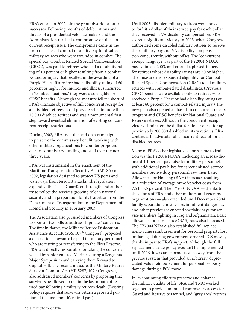FRA's efforts in 2002 laid the groundwork for future successes. Following months of deliberations and threats of a presidential veto, lawmakers and the Administration reached a compromise on the concurrent receipt issue. The compromise came in the form of a special combat disability pay for disabled military retirees who were wounded in combat. The special pay, Combat Related Special Compensation (CRSC), was paid to retirees who had a disability rating of 10 percent or higher resulting from a combat wound or injury that resulted in the awarding of a Purple Heart. If a retiree had a disability rating of 60 percent or higher for injuries and illnesses incurred in "combat situations," they were also eligible for CRSC benefits. Although the measure fell far short of FRA's ultimate objective of full concurrent receipt for all disabled retirees, it did provide relief to more than 10,000 disabled retirees and was a monumental first step toward eventual elimination of existing concurrent receipt restrictions.

During 2002, FRA took the lead on a campaign to preserve the commissary benefit, working with other military organizations to counter proposed cuts to commissary funding and staff over the next three years.

FRA was instrumental in the enactment of the Maritime Transportation Security Act (MTSA) of 2002, legislation designed to protect US ports and waterways from terrorist attacks. The legislation expanded the Coast Guard's endstrength and authority to reflect the service's growing role in national security and in preparation for its transition from the Department of Transportation to the Department of Homeland Security in February 2003.

The Association also persuaded members of Congress to sponsor two bills to address shipmates' concerns. The first initiative, the Military Retiree Dislocation Assistance Act (HR 4936, 107<sup>th</sup> Congress), proposed a dislocation allowance be paid to military personnel who are retiring or transferring to the Fleet Reserve. FRA was directly responsible for taking the concerns voiced by senior enlisted Marines during a Sergeants Major Symposium and carrying them forward to Capitol Hill. The second measure, the Military Retiree Survivor Comfort Act (HR 5287, 107<sup>th</sup> Congress), also addressed members' concerns by proposing that survivors be allowed to retain the last month of retired pay following a military retiree's death. (Existing policy requires that survivors return a prorated portion of the final month's retired pay.)

Until 2003, disabled military retirees were forced to forfeit a dollar of their retired pay for each dollar they received in VA disability compensation. FRA scored a significant victory in 2003, when Congress authorized some disabled military retirees to receive their military pay and VA disability compensation concurrently, without offset. The "concurrent receipt" language was part of the FY2004 NDAA, passed in late 2003, and created a phased-in benefit for retirees whose disability ratings are 50 or higher. The measure also expanded eligibility for Combat Related Special Compensation (CRSC) to all military retirees with combat-related disabilities. (Previous CRSC benefits were available only to retirees who received a Purple Heart or had disability ratings of at least 60 percent for a combat-related injury.) The new plan also opened a phased-in concurrent receipt program and CRSC benefits for National Guard and Reserve retirees. Although the concurrent receipt victory eliminated the dollar-for-dollar offset for approximately 200,000 disabled military retirees, FRA continues to advocate full concurrent receipt for all disabled retirees.

Many of FRA's other legislative efforts came to fruition via the FY2004 NDAA, including an across-theboard 4.1 percent pay raise for military personnel, with additional pay hikes for career enlisted service members. Active duty personnel saw their Basic Allowance for Housing (BAH) increase, resulting in a reduction of average out-of-pocket costs from 7.5 to 3.5 percent. The FY2004 NDAA — thanks to the efforts of FRA and other military and veterans' organizations — also extended until December 2004 family separation, hostile-fire/imminent-danger pay and other previously-enacted specialty pays for service members fighting in Iraq and Afghanistan. Basic allowance for subsistence (BAS) rates also increased. The FY2004 NDAA also established full replacement-value reimbursement for personal property lost or damaged during government-ordered PCS moves, thanks in part to FRA's support. Although the full replacement-value policy wouldn't be implemented until 2006, it was an enormous step away from the previous system that provided an arbitrary, depreciated-value reimbursement for personal property damage during a PCS move.

In its continuing effort to preserve and enhance the military quality of life, FRA and TMC worked together to provide unlimited commissary access for Guard and Reserve personnel, and "gray area" retirees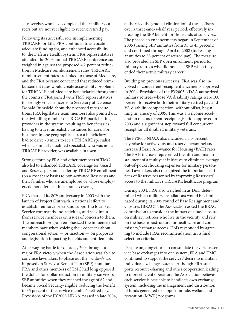— reservists who have completed their military careers but are not yet eligible to receive retired pay.

Following its successful role in implementing TRICARE for Life, FRA continued to advocate adequate funding for, and enhanced accessibility to, the Defense Health System. FRA representatives attended the 2003 annual TRICARE conference and weighed in against the proposed 4.2 percent reduction in Medicare reimbursement rates. TRICARE reimbursement rates are linked to those of Medicare, and the FRA became concerned that reduced reimbursement rates would create accessibility problems for TRICARE and Medicare beneficiaries throughout the country. FRA joined with TMC representatives to strongly voice concerns to Secretary of Defense Donald Rumsfeld about the proposed rate reductions. FRA legislative team members also pointed out the dwindling number of TRICARE-participating providers in the system, resulting in beneficiaries having to travel unrealistic distances for care. For instance, in one geographical area a beneficiary had to drive 70 miles to see a TRICARE specialist when a similarly qualified specialist, who was not a TRICARE provider, was available in town.

Strong efforts by FRA and other members of TMC also led to enhanced TRICARE coverage for Guard and Reserve personnel, offering TRICARE enrollment (on a cost share basis) to non-activated Reservists and their families who are unemployed or whose employers do not offer health insurance coverage.

FRA marked its 80<sup>th</sup> anniversary in 2003 with the launch of Project Outreach, a national effort to establish, reinforce or expand support to local Sea Service commands and activities, and seek input from service members on issues of concern to them. The outreach program emphasized the influence that members have when voicing their concerns about congressional action — or inaction — on proposals and legislation impacting benefits and entitlements.

After waging battle for decades, 2004 brought a major FRA victory when the Association was able to convince lawmakers to phase out the "widow's tax" imposed on Survivor Benefit Plan (SBP) annuitants. FRA and other members of TMC had long opposed the dollar-for-dollar reduction in military survivors' SBP annuities when they reached the age of 62 and became Social Security-eligible, reducing the benefit to 35 percent of the service member's retired pay. Provisions of the FY2005 NDAA, passed in late 2004, authorized the gradual elimination of these offsets over a three-and-a-half year period, effectively increasing the SBP benefit for thousands of survivors. The phased-in enhancements began in September of 2005 (raising SBP annuities from 35 to 45 percent) and continued through April of 2008 (increasing annuities to 55 percent of retired pay). The measure also provided an SBP open enrollment period for military retirees who did not elect SBP when they ended their active military career.

Building on previous successes, FRA was also involved in concurrent receipt enhancements approved in 2004. Provisions of the FY2005 NDAA authorized military retirees whose VA disability ratings were 100 percent to receive both their military retired pay and VA disability compensation, without offset, beginning in January of 2005. This was a welcome acceleration of concurrent receipt legislation approved in 2003 and a significant step toward full concurrent receipt for all disabled military veterans.

The FY2005 NDAA also included a 3.5-percent pay raise for active duty and reserve personnel and increased Basic Allowance for Housing (BAH) rates. The BAH increase represented the fifth and final installment of a multiyear initiative to eliminate average out-of-pocket housing expenses for military personnel. Lawmakers also recognized the important sacrifices of Reserve personnel by improving Reservists' access to the military's TRICARE healthcare program.

During 2004, FRA also weighed in as DoD determined which military installations would be eliminated during its 2005 round of Base Realignment and Closures (BRAC). The Association asked the BRAC commission to consider the impact of a base closure on military retirees who live in the vicinity and rely on the base infrastructure for healthcare and commissary/exchange access. DoD responded by agreeing to include FRA's recommendation in its final selection criteria.

Despite ongoing efforts to consolidate the various service base exchanges into one system, FRA and TMC continued to support the services' desire to maintain individual exchange systems. Although FRA supports resource-sharing and other cooperation leading to more efficient operation, the Association believes each service is best able to handle its own exchange system, including the management and distribution of funds generated to support morale, welfare and recreation (MWR) programs.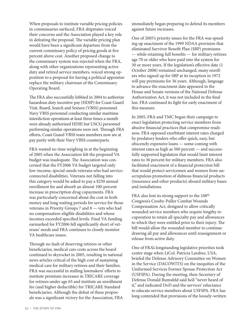When proposals to institute variable pricing policies in commissaries surfaced, FRA shipmates voiced their concerns and the Association played a key role in defeating the proposal. The variable pricing plan would have been a significant departure from the current commissary policy of pricing goods at five percent above cost. Another proposed change to the commissary system was rejected when the FRA, along with other organizations representing active duty and retired service members, voiced strong opposition to a proposal for having a political appointee replace the military chairman of the Commissary Operating Board.

The FRA also successfully lobbied in 2004 to authorize hazardous duty incentive pay (HDIP) for Coast Guard Visit, Board, Search and Seizure (VBSS) personnel. Navy VBSS personnel conducting similar maritime interdiction operations at least three times a month were already authorized HDIP, but USCG personnel performing similar operations were not. Through FRA efforts, Coast Guard VBSS team members now are at pay parity with their Navy VBSS counterparts.

FRA wasted no time weighing in at the beginning of 2005 when the Association felt the proposed VA budget was inadequate. The Association was concerned that the FY2006 VA budget targeted only low-income, special-needs veterans who had serviceconnected disabilities. Veterans not falling into this category would be asked to pay a \$250 annual enrollment fee and absorb an almost 100-percent increase in prescription drug copayments. FRA was particularly concerned about the cost in both money and long waiting periods for service for those veterans in Priority Groups 7 and 8 — vets who had no compensation-eligible disabilities and whose incomes exceeded specified levels. Final VA funding earmarked for FY2006 fell significantly short of veterans' needs and FRA continues to closely monitor VA healthcare issues.

Through no fault of deserving retirees or other beneficiaries, medical care costs across the board continued to skyrocket in 2005, resulting in national news articles critical of the high cost of sustaining medical care for military retirees and their families. FRA was successful in stalling lawmakers' efforts to institute premium increases in TRICARE coverage for retirees under age 65 and institute an enrollment fee (and higher deductible) for TRICARE Standard beneficiaries. Although the defeat of these proposals was a significant victory for the Association, FRA immediately began preparing to defend its members against future increases.

One of 2005's priority issues for the FRA was speeding up enactment of the 1999 NDAA provision that eliminated Survivor Benefit Plan (SBP) premiums — while retaining full benefits — for military retirees age 70 or older who have paid into the system for 30 or more years. If the legislation's effective date (1 October 2008) remained unchanged, many enrollees who signed up for SBP at its inception in 1972 will pay premiums for 36 years. Although, language to advance the enactment date appeared in the House and Senate versions of the National Defense Authorization Act, it was not included in the final law. FRA continued its fight for early enactment of this measure.

In 2005, FRA and TMC began their campaign to enact legislation protecting service members from abusive financial practices that compromise readiness. FRA opposed exorbitant interest rates charged by predatory lenders who offer quick, easy, but obscenely expensive loans — some coming with interest rates as high as 500 percent — and successfully supported legislation that would limit interest rates to 36 percent for military members. FRA also facilitated enactment of a financial protection bill that would protect servicemen and women from unscrupulous promotion of dubious financial products (insurance and other products) aboard military bases and installations.

FRA also lent its strong support to the 108<sup>th</sup> Congress's Crosby-Puller Combat Wounds Compensation Act, designed to allow critically wounded service members who require lengthy recuperation to retain all specialty pay and allowances to which they were entitled prior to their injury. The bill would allow the wounded member to continue drawing all pay and allowances until reassignment or release from active duty.

One of FRA's longstanding legislative priorities took center stage when LtCol. Patricia Larabee, USA, briefed the Defense Advisory Committee on Women in the Service (DACOWITS) on the inequities of the Uniformed Services Former Spouse Protection Act (USFSPA). During the meeting, then-Secretary of Defense Donald Rumsfeld said he'd "never heard of it," and indicated DoD and the services' reluctance to educate service members about USFSPA. FRA has long contended that provisions of the loosely-written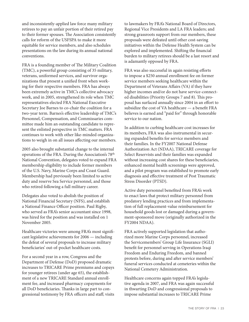and inconsistently-applied law force many military retirees to pay an unfair portion of their retired pay to their former spouses. The Association consistently calls for reform of the USFSPA to make it more equitable for service members, and also schedules presentations on the law during its annual national conventions.

FRA is a founding member of The Military Coalition (TMC), a powerful group consisting of 35 military, veterans, uniformed services, and survivor organizations that present a unified front when working for their respective members. FRA has always been extremely active in TMC's collective advocacy work, and in 2005, strengthened its role when TMC representatives elected FRA National Executive Secretary Joe Barnes to co-chair the coalition for a two-year term. Barnes's effective leadership of TMC's Personnel, Compensation, and Commissaries committee made him an outstanding candidate to represent the enlisted perspective in TMC matters. FRA continues to work with other like-minded organizations to weigh in on all issues affecting our members.

2005 also brought substantial change to the internal operations of the FRA. During the Association's 78th National Convention, delegates voted to expand FRA membership eligibility to include former members of the U.S. Navy, Marine Corps and Coast Guard. Membership had previously been limited to active duty and reserve Sea Service personnel, and those who retired following a full military career.

Delegates also voted to abolish the position of National Financial Secretary (NFS), and establish a National Finance Officer position. Paul Rigby, who served as FRA's senior accountant since 1998, was hired for the position and was installed on 1 November 2005.

Healthcare victories were among FRA's most significant legislative achievements for 2006 — including the defeat of several proposals to increase military beneficiaries' out-of-pocket healthcare costs.

For a second year in a row, Congress and the Department of Defense (DoD) proposed dramatic increases to TRICARE Prime premiums and copays for younger retirees (under age 65), the establishment of a new TRICARE Standard annual enrollment fee, and increased pharmacy copayments for all DoD beneficiaries. Thanks in large part to congressional testimony by FRA officers and staff; visits

to lawmakers by FRA's National Board of Directors, Regional Vice Presidents and LA FRA leaders; and strong grassroots support from our members, these proposals were defeated until other cost-saving initiatives within the Defense Health System can be explored and implemented. Shifting the financial burden to military retirees should be a last resort and is adamantly opposed by FRA.

FRA was also successful in again resisting efforts to impose a \$250 annual enrollment fee on former service members seeking healthcare within the Department of Veterans Affairs (VA) if they have higher incomes and/or do not have service-connected disabilities (Priority Groups 7 and 8). This proposal has surfaced annually since 2004 in an effort to subsidize the cost of VA healthcare — a benefit FRA believes is earned and "paid for" through honorable service to our nation.

In addition to curbing healthcare cost increases for its members, FRA was also instrumental in securing expanded benefits for service members and their families. In the FY2007 National Defense Authorization Act (NDAA), TRICARE coverage for Select Reservists and their families was expanded without increasing cost shares for these beneficiaries, enhanced mental health screenings were approved, and a pilot program was established to promote early diagnosis and effective treatment of Post Traumatic Stress Disorder (PTSD).

Active duty personnel benefited from FRA's work to enact laws that protect military personnel from predatory lending practices and from implementation of full replacement-value reimbursement for household goods lost or damaged during a government-sponsored move (originally authorized in the FY2004 NDAA).

FRA actively supported legislation that authorized more Marine Corps personnel, increased the Servicemembers' Group Life Insurance (SGLI) benefit for personnel serving in Operations Iraqi Freedom and Enduring Freedom, and banned protests before, during and after service members' funeral services conducted at cemeteries within the National Cemetery Administration.

Healthcare concerns again topped FRA's legislative agenda in 2007, and FRA was again successful in thwarting DoD and congressional proposals to impose substantial increases to TRICARE Prime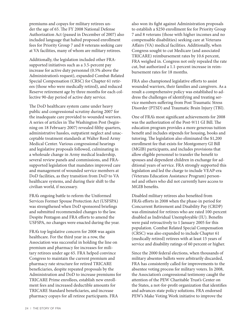premiums and copays for military retirees under the age of 65. The FY 2008 National Defense Authorization Act (passed in December of 2007) also included language that halted proposed enrollment fees for Priority Group 7 and 8 veterans seeking care at VA facilities, many of whom are military retirees.

Additionally, the legislation included other FRAsupported initiatives such as a 3.5-percent pay increase for active duty personnel (0.5% above the Administration's request), expanded Combat-Related Special Compensation (CRSC) for Chapter 61 retirees (those who were medically retired), and reduced Reserve retirement age by three months for each collective 90-day period of active duty service.

The DoD healthcare system came under heavy public and congressional scrutiny during 2007 for the inadequate care provided to wounded warriors. A series of articles in The Washington Post (beginning on 18 February 2007) revealed filthy quarters, administrative hassles, outpatient neglect and unacceptable treatment standards at Walter Reed Army Medical Center. Various congressional hearings and legislative proposals followed, culminating in a wholesale change in Army medical leadership, several review panels and commissions, and FRAsupported legislation that mandates improved care and management of wounded service members at DoD facilities, as they transition from DoD to VA healthcare systems, and during their shift to the civilian world, if necessary.

FRA's ongoing battle to reform the Uniformed Services Former Spouse Protection Act (USFSPA) was strengthened when DoD sponsored briefings and submitted recommended changes to the law. Despite Pentagon and FRA efforts to amend the USFSPA, no changes were enacted during the year.

FRA's top legislative concern for 2008 was again healthcare. For the third year in a row, the Association was successful in holding the line on premium and pharmacy fee increases for military retirees under age 65. FRA helped convince Congress to maintain the current premium and pharmacy rate structure for retired TRICARE beneficiaries, despite repeated proposals by the Administration and DoD to increase premiums for TRICARE Prime enrollees, establish new enrollment fees and increased deductible amounts for TRICARE Standard beneficiaries, and increase pharmacy copays for all retiree participants. FRA

also won its fight against Administration proposals to establish a \$250 enrollment fee for Priority Group 7 and 8 veterans (those with higher incomes and no compensable disabilities) seeking care at Veterans Affairs (VA) medical facilities. Additionally, when Congress sought to cut Medicare (and associated TRICARE) reimbursement rates by 10.6 percent, FRA weighed in. Congress not only repealed the rate cut, but authorized a 1.1-percent increase in reimbursement rates for 18 months.

FRA also championed legislative efforts to assist wounded warriors, their families and caregivers. As a result a comprehensive policy was established to address the challenges of identifying and treating service members suffering from Post Traumatic Stress Disorder (PTSD) and Traumatic Brain Injury (TBI).

One of FRA's most significant achievements for 2008 was the authorization of the Post-9/11 GI Bill. The education program provides a more generous tuition benefit and includes stipends for housing, books and tutoring. The legislation also eliminated the \$1,200 enrollment fee that exists for Montgomery GI Bill (MGIB) participants, and includes provisions that allow eligible personnel to transfer the benefit to spouses and dependent children in exchange for additional years of service. FRA strongly supported this legislation and led the charge to include VEAP-era (Veterans Education Assistance Program) personnel and others who did not currently have access to MGIB benefits.

Disabled military retirees also benefited from FRA's efforts in 2008 when the phase-in period for Concurrent Retirement and Disability Pay (CRDP) was eliminated for retirees who are rated 100-percent disabled as Individual Unemployable (IU). Benefits were paid retroactively to 1 January 2005 for this population. Combat Related Special Compensation (CRSC) was also expanded to include Chapter 61 (medically retired) retirees with at least 15 years of service and disability ratings of 60 percent or higher.

Since the 2000 federal elections, when thousands of military absentee ballots were arbitrarily discarded, FRA has consistently called for improvements to the absentee voting process for military voters. In 2008, the Association's congressional testimony caught the attention of the PEW Charitable Trust's Center on the States, a not-for-profit organization that identifies and advances state policy solutions. FRA endorsed PEW's Make Voting Work initiative to improve the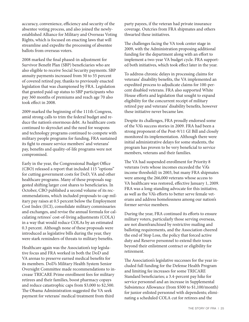accuracy, convenience, efficiency and security of the absentee voting process, and also joined the newlyestablished Alliance for Military and Overseas Voting Rights, which is focused on enacting laws that will streamline and expedite the processing of absentee ballots from overseas voters.

2008 marked the final phased-in adjustment for Survivor Benefit Plan (SBP) beneficiaries who are also eligible to receive Social Security payments. SBP annuity payments increased from 50 to 55 percent of covered retired pay, thanks to previously enacted legislation that was championed by FRA. Legislation that granted paid-up status to SBP participants who pay 360 months of premiums and reach age 70 also took effect in 2008.

2009 marked the beginning of the 111th Congress, amid strong calls to trim the federal budget and reduce the nation's enormous debt. As healthcare costs continued to skyrocket and the need for weapons and technology programs continued to compete with military people programs for funding, FRA sustained its fight to ensure service members' and veterans' pay, benefits and quality-of-life programs were not compromised.

Early in the year, the Congressional Budget Office (CBO) released a report that included 115 "options" for cutting government costs for DoD, VA and other healthcare programs. Many of these proposals suggested shifting larger cost shares to beneficiaries. In October, CBO published a second volume of its recommendations, which included proposals to cap military pay raises at 0.5 percent below the Employment Cost Index (ECI), consolidate military commissaries and exchanges, and revise the annual formula for calculating retirees' cost-of-living adjustments (COLA) in a way that would reduce COLAs by an estimated 0.3 percent. Although none of these proposals were introduced as legislative bills during the year, they were stark reminders of threats to military benefits.

Healthcare again was the Association's top legislative focus and FRA worked in both the DoD and VA arenas to preserve earned medical benefits for its members. DoD's Military Health System Senior Oversight Committee made recommendations to increase TRICARE Prime enrollment fees for military retirees and their families, boost pharmacy copays and reduce catastrophic caps from \$3,000 to \$2,500. The Obama Administration suggested the VA seek payment for veterans' medical treatment from third

party payees, if the veteran had private insurance coverage. Outcries from FRA shipmates and others thwarted these initiatives.

The challenges facing the VA took center stage in 2009, with the Administration proposing additional funding for the department along with an effort to implement a two-year VA budget cycle. FRA supported both initiatives, which took effect later in the year.

To address chronic delays in processing claims for veterans' disability benefits, the VA implemented an expedited process to adjudicate claims for 100-percent disabled veterans. FRA also supported White House efforts and legislation that sought to expand eligibility for the concurrent receipt of military retired pay and veterans' disability benefits, however these initiative never became law.

Despite its challenges, FRA proudly endorsed some of the VA's success stories in 2009. FRA had been a strong proponent of the Post-9/11 GI Bill and closely monitored its implementation. Although there were initial administrative delays for some students, the program has proven to be very beneficial to service members, veterans and their families.

The VA had suspended enrollment for Priority 8 veterans (vets whose incomes exceeded the VA's income threshold) in 2003, but many FRA shipmates were among the 266,000 veterans whose access to VA healthcare was restored, effective January 1, 2009. FRA was a long-standing advocate for this initiative, as well as the VA's efforts to better serve female veterans and address homelessness among our nation's former service members.

During the year, FRA continued its efforts to ensure military voters, particularly those serving overseas, are not disenfranchised by restrictive mailing and balloting requirements, and the Association cheered the end of Stop Loss, the policy that forced active duty and Reserve personnel to extend their tours beyond their enlistment contract or eligibility for retirement.

The Association's legislative successes for the year included full funding for the Defense Health Program and limiting fee increases for some TRICARE Standard beneficiaries; a 3.4-percent pay hike for service personnel and an increase in Supplemental Subsistence Allowance (from \$500 to \$1,100/month) for junior enlisted personnel with dependents; eliminating a scheduled COLA cut for retirees and the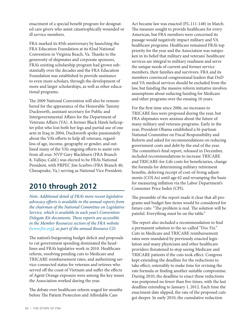enactment of a special benefit program for designated care givers who assist catastrophically wounded or ill service members.

FRA marked its 85th anniversary by launching the FRA Education Foundation at its 82nd National Convention in Virginia Beach, Va. Thanks to the generosity of shipmates and corporate sponsors, FRA's existing scholarship program had grown substantially over the decades and the FRA Education Foundation was established to provide assistance to even more scholars, through the development of more and larger scholarships, as well as other educational programs.

The 2009 National Convention will also be remembered for the appearance of the Honorable Tammy Duckworth, assistant secretary for Public and Intergovernmental Affairs for the Department of Veterans Affairs (VA). A former Black Hawk helicopter pilot who lost both her legs and partial use of one arm in Iraq in 2004, Duckworth spoke passionately about the VA's efforts to help all veterans, regardless of age, income, geography or gender, and outlined many of the VA's ongoing efforts to assist vets from all eras. NVP Gary Blackburn (FRA Branch 8, Vallejo, Calif.) was elected to be FRA's National President, with PRPEC Jim Scarbro (FRA Branch 40, Chesapeake, Va.) serving as National Vice President.

### **2010 through 2012**

*Note: Additional detail of FRA's more recent legislative advocacy efforts is available in the annual reports from the chairman of the National Committee on Legislative Service, which is available in each year's Convention Delegate Kit documents. These reports are accessible in the Member Resources section of the FRA website ([www.fra.org](http://www.fra.org)), as part of the annual Resource CD.*

The nation's burgeoning budget deficit and proposals to cut government spending dominated the headlines and FRA's legislative work in 2010. Healthcare reform, resolving pending cuts to Medicare and TRICARE reimbursement rates, and authorizing service-connected status for veterans and retirees who served off the coast of Vietnam and suffer the effects of Agent Orange exposure were among the key issues the Association worked during the year.

The debate over healthcare reform waged for months before The Patient Protection and Affordable Care

Act became law was enacted (P.L.111-148) in March. The measure sought to provide healthcare for every American, but FRA members were concerned its passage would negatively impact military and VA healthcare programs. Healthcare remained FRA's top priority for the year and the Association was outspoken in its belief that military and veterans' healthcare services are integral to military readiness and serve the unique needs of current and former service members, their families and survivors. FRA and its members convinced congressional leaders that DoD and VA medical services should be excluded from the law, but funding the massive reform initiative involves assumptions about reducing funding for Medicare and other programs over the ensuing 10 years.

For the first time since 2006, no increases to TRICARE fees were proposed during the year, but FRA shipmates were anxious about the future of many military and veterans programs. Early in the year, President Obama established a bi-partisan National Committee on Fiscal Responsibility and Reform and asked for recommendations on reducing government costs and debt by the end of the year. The committee's final report, released in December, included recommendations to increase TRICARE and TRICARE-for-Life costs for beneficiaries, change the formula for determining military retirement benefits, deferring receipt of cost-of-living adjustments (COLAs) until age 62 and revamping the basis for measuring inflation via the Labor Department's Consumer Price Index (CPI).

The preamble of the report made it clear that all programs and budget line items would be considered for future cuts: "The problem is real. The solution will be painful. Everything must be on the table."

The report also included a recommendation to find a permanent solution to the so-called "Doc Fix." Cuts in Medicare and TRICARE reimbursement rates were mandated by previously enacted legislation and many physicians and other healthcare providers threatened to stop seeing Medicare and TRICARE patients if the cuts took effect. Congress kept extending the deadline for the reductions to take effect, ostensibly to make time for revising the rate formula or finding another suitable compromise. During 2010, the deadline to enact these reductions was postponed no fewer than five times, with the last deadline extending to January 1, 2012. Each time the enactment date slipped, the rate of the proposed cuts got deeper. In early 2010, the cumulative reduction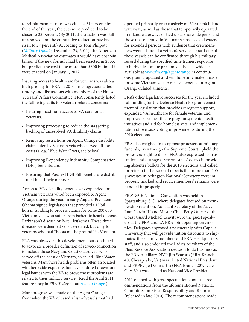to reimbursement rates was cited at 21 percent; by the end of the year, the cuts were predicted to be closer to 23 percent. (By 2011, the situation was still unresolved and the cumulative reduction rate had risen to 27 percent.) According to Tom Philpott (*[Military Update,](http://bit.ly/YMad3n)* December 29, 2011), the American Medical Association estimates it would have cost \$48 billion if the new formula had been enacted in 2005, but predicts the cost to be more than \$300 billion if it were enacted on January 1, 2012.

Insuring access to healthcare for veterans was also a high priority for FRA in 2010. In congressional testimony and discussions with members of the House Veterans' Affairs Committee, FRA consistently listed the following at its top veteran-related concerns:

- Insuring maximum access to VA care for all veterans,
- Improving processing to reduce the staggering backlog of unresolved VA disability claims,
- Removing restrictions on Agent Orange disability claims filed by Vietnam vets who served off the coast (a.k.a. "Blue Water" vets, see below),
- Improving Dependency Indemnity Compensation (DIC) benefits, and
- Ensuring that Post-9/11 GI Bill benefits are distributed in a timely manner.

Access to VA disability benefits was expanded for Vietnam veterans who'd been exposed to Agent Orange during the year. In early August, President Obama signed legislation that provided \$13 billion in funding to process claims for some 200,000 Vietnam vets who suffer from ischemic heart disease, Parkinson's disease or B-cell leukemia. These three diseases were deemed service-related, but only for veterans who had "boots on the ground" in Vietnam.

FRA was pleased at this development, but continued to advocate a broader definition of service-connection to include those Navy and Coast Guard vets who served off the coast of Vietnam, so called "Blue Water" veterans. Many have health problems often associated with herbicide exposure, but have endured drawn-out legal battles with the VA to prove those problems are related to their military service. (Read the April 2011 feature story in *FRA Today* about [Agent Orange.](http://bit.ly/10tT0wb))

More progress was made on the Agent Orange front when the VA released a list of vessels that had operated primarily or exclusively on Vietnam's inland waterway, as well as those that temporarily operated in inland waterways or tied up at shoreside piers, and those that operated in Vietnam's close coastal waters for extended periods with evidence that crewmembers went ashore. If a veteran's service aboard one of these vessels can be confirmed through his military record during the specified time frames, exposure to herbicides can be presumed. The list, which is available at [www.fra.org/agentorange](http://www.fra.org/agentorange), is continuously being updated and will hopefully make it easier for some Vietnam vets to receive benefits for Agent Orange-related ailments.

FRA's other legislative successes for the year included full funding for the Defense Health Program; enactment of legislation that provides caregiver support, expanded VA healthcare for female veterans and improved rural healthcare programs; mental health initiatives and aid for homeless vets; and implementation of overseas voting improvements during the 2010 elections.

FRA also weighed in to oppose protesters at military funerals, even though the Supreme Court upheld the protesters' right to do so. FRA also expressed its frustration and outrage at several states' delays in providing absentee ballots for the 2010 elections and called for reform in the wake of reports that more than 200 gravesites in Arlington National Cemetery were improperly marked and service members' remains were handled improperly.

FRA's 86th National Convention was held in Spartanburg, S.C., where delegates focused on membership retention. Assistant Secretary of the Navy Juan Garcia III and Master Chief Petty Officer of the Coast Guard Michael Leavitt were the guest speakers at the FRA and LA FRA joint opening ceremonies. Delegates approved a partnership with Capella University that will provide tuition discounts to shipmates, their family members and FRA Headquarters staff, and also endorsed the Ladies Auxiliary of the Fleet Reserve Association decision to do business as the FRA Auxiliary. NVP Jim Scarbro (FRA Branch 40, Chesapeake, Va.) was elected National President and PRPEC Jeff Gilmartin (FRA Branch 207, Dale City, Va.) was elected as National Vice President.

2011 opened with great speculation about the recommendations from the aforementioned National Committee on Fiscal Responsibility and Reform (released in late 2010). The recommendations made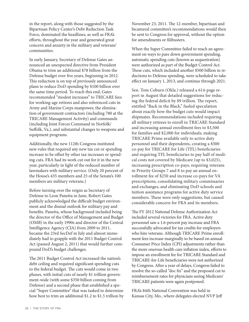in the report, along with those suggested by the Bipartisan Policy Center's Debt Reduction Task Force, dominated the headlines, as well as FRA's efforts, throughout the year and generated great concern and anxiety in the military and veterans' communities.

In early January, Secretary of Defense Gates announced an unexpected directive from President Obama to trim an additional \$78 billion from the Defense budget over five years, beginning in 2012. This reduction is on top of previously announced plans to reduce DoD spending by \$100 billion over the same time period. To reach this end, Gates recommended "modest increases" to TRICARE fees for working-age retirees and also referenced cuts in Army and Marine Corps manpower, the elimination of government contractors (including 780 at the TRICARE Management Activity) and commands (including Joint Forces Command in Norfolk/ Suffolk, Va.), and substantial changes to weapons and equipment programs.

Additionally, the new 112th Congress instituted new rules that required any new tax cut or spending increase to be offset by other tax increases or spending cuts. FRA had its work cut out for it in the new year, particularly in light of the reduced number of lawmakers with military service. (Only 20 percent of the House's 435 members and 25 of the Senate's 100 members are military veterans.)

Before turning over the reigns as Secretary of Defense to Leon Panetta in June, Robert Gates publicly acknowledged the difficult budget environment and the dismal outlook for military pay and benefits. Panetta, whose background included being the director of the Office of Management and Budget (OMB) in the early 1990s and director of the Central Intelligence Agency (CIA) from 2009 to 2011, became the 23rd SecDef in July and almost immediately had to grapple with the 2011 Budget Control Act (passed August 2, 2011) that would further compound DoD's budget challenges.

The 2011 Budget Control Act increased the nation's debt ceiling and required significant spending cuts to the federal budget. The cuts would come in two phases, with initial cuts of nearly \$1 trillion government-wide (with some \$350 billion coming from Defense) and a second phase that established a special "Super Committee" that was tasked to determine how best to trim an additional \$1.2 to \$1.5 trillion by November 23, 2011. The 12-member, bipartisan and bicameral committee's recommendations would then be sent to Congress for approval, without the option for amendments or filibusters.

When the Super Committee failed to reach an agreement on ways to pare down government spending, automatic spending cuts (known as sequestration) were authorized as part of the Budget Control Act. These cuts, which included another \$500 billion in reductions to Defense spending, were scheduled to take effect on January 1, 2013, and continue through 2021.

Sen. Tom Coburn (Okla.) released a 614-page report in August that detailed suggestions for reducing the federal deficit by \$9 trillion. The report, entitled "Back in the Black," fueled speculation about exactly how the budget cuts would impact shipmates. Recommendations included requiring all military retirees to enroll in TRICARE Standard and increasing annual enrollment fees to \$3,500 for families and \$2,000 for individuals; making TRICARE Prime available only to active duty personnel and their dependents, creating a \$500 co-pay for TRICARE for Life (TFL) beneficiaries and requiring TFL beneficiaries to pay half of medical costs not covered by Medicare (up to \$3,025), increasing prescription co-pays, requiring veterans in Priority Groups 7 and 8 to pay an annual enrollment fee of \$250 and increase co-pays for VA prescriptions, consolidating military commissaries and exchanges, and eliminating DoD schools and tuition assistance programs for active duty service members. These were only suggestions, but caused considerable concern for FRA and its members.

The FY 2012 National Defense Authorization Act included several victories for FRA. Active duty personnel saw a 1.6-percent pay increase and FRA successfully advocated for tax credits for employers who hire veterans. Although TRICARE Prime enrollment fees increase marginally to be based on annual Consumer Price Index (CPI) adjustments rather than the more onerous health care inflation index, efforts to impose an enrollment fee for TRICARE Standard and TRICARE-for-Life beneficiaries were not authorized by Congress. After a year of delays, Congress failed to resolve the so-called "doc fix" and the proposed cut to reimbursement rates for physicians seeing Medicare/ TRICARE patients were again postponed.

FRA's 84th National Convention was held in Kansas City, Mo., where delegates elected NVP Jeff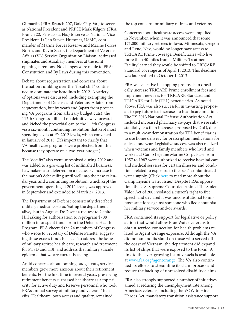Gilmartin (FRA Branch 207, Dale City, Va.) to serve as National President and PRPSE Mark Kilgore (FRA Branch 22, Pensacola, Fla.) to serve as National Vice President. LtGen Steven Hummer, USMC, commander of Marine Forces Reserve and Marine Forces North, and Kevin Secor, the Department of Veterans Affairs (VA) Service Organization Liaison, addressed shipmates and Auxiliary members at the joint opening ceremony. No changes were made to FRA's Constitution and By Laws during this convention.

Debate about sequestration and concerns about the nation rumbling over the "fiscal cliff" continued to dominate the headlines in 2012. A variety of options were discussed, including exempting the Departments of Defense and Veterans' Affairs from sequestration, but by year's end (apart from protecting VA programs from arbitrary budget cuts), the 112th Congress still had no definitive way forward and kicked the proverbial can to the 113th Congress via a six-month continuing resolution that kept most spending levels at FY 2012 levels, which convened in January of 2013. (It's important to clarify that VA health care programs were protected from this because they operate on a two-year budget.)

The "doc fix" also went unresolved during 2012 and was added to a growing list of unfinished business. Lawmakers also deferred on a necessary increase in the nation's debt ceiling until well into the new calendar year, and a continuing resolution, which kept the government operating at 2012 levels, was approved in September and extended to March 27, 2013.

The Department of Defense consistently described military medical costs as "eating the department alive," but in August, DoD sent a request to Capitol Hill asking for authorization to reprogram \$708 million in unspent funds from the Defense Health Program. FRA cheered the 24 members of Congress who wrote to Secretary of Defense Panetta, suggesting these excess funds be used "to address the issues of military retiree health care, research and treatment for PTSD and TBI, and address the military suicide epidemic that we are currently facing."

Amid concerns about looming budget cuts, service members grew more anxious about their retirement benefits. For the first time in several years, preserving retirement benefits surpassed healthcare as a top priority for active duty and Reserve personnel who took FRA's annual survey of military and veterans' benefits. Healthcare, both access and quality, remained

the top concern for military retirees and veterans.

Concerns about healthcare access were amplified in November, when it was announced that some 171,000 military retirees in Iowa, Minnesota, Oregon and Reno, Nev., would no longer have access to TRICARE Prime coverage. Beneficiaries who live more than 40 miles from a Military Treatment Facility learned they would be shifted to TRICARE Standard coverage as of April 1, 2013. This deadline was later shifted to October 1, 2013.

FRA was effective in stopping proposals to drastically increase TRICARE Prime enrollment fees and implement new fees for TRICARE Standard and TRICARE-for-Life (TFL) beneficiaries. As noted above, FRA was also successful in thwarting proposals to peg future fee increases to healthcare inflation. The FY 2013 National Defense Authorization Act included increased pharmacy co-pays that were substantially less than increases proposed by DoD, due to a multi-year demonstration for TFL beneficiaries to use home delivery for prescription medications for at least one year. Legislative success was also realized when veterans and family members who lived and worked at Camp Lejeune Marine Corps Base from 1957 to 1987 were authorized to receive hospital care and medical services for certain illnesses and conditions related to exposure to the base's contaminated water supply. (Click [here](http://bit.ly/15PSnC6) to read more about the Camp Lejeune water issue.) Despite FRA's opposition, the U.S. Supreme Court determined The Stolen Valor Act of 2005 violated a citizen's right to free speech and declared it was unconstitutional to impose sanctions against someone who lied about his/ her military service and/or awards.

FRA continued its support for legislative or policy action that would allow Blue Water veterans to obtain service-connection for health problems related to Agent Orange exposure. Although the VA did not amend its stand on those who served off the coast of Vietnam, the department did expand its list of ships that were exposed to the toxin. A link to the ever-growing list of vessels is available at [www.fra.org/agentorange.](http://www.fra.org/agentorange) The VA also continued its efforts to streamline its claim process and reduce the backlog of unresolved disability claims.

FRA also strongly supported a number of initiatives aimed at reducing the unemployment rate among America's veterans, including the VOW to Hire Heroes Act, mandatory transition assistance support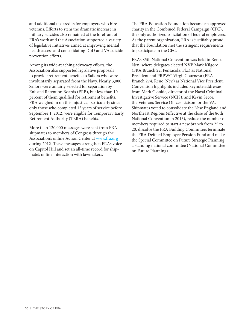and additional tax credits for employers who hire veterans. Efforts to stem the dramatic increase in military suicides also remained at the forefront of FRA's work and the Association supported a variety of legislative initiatives aimed at improving mental health access and consolidating DoD and VA suicide prevention efforts.

Among its wide-reaching advocacy efforts, the Association also supported legislative proposals to provide retirement benefits to Sailors who were involuntarily separated from the Navy. Nearly 3,000 Sailors were unfairly selected for separation by Enlisted Retention Boards (ERB), but less than 10 percent of them qualified for retirement benefits. FRA weighed in on this injustice, particularly since only those who completed 15 years of service before September 1, 2012, were eligible for Temporary Early Retirement Authority (TERA) benefits.

More than 120,000 messages were sent from FRA shipmates to members of Congress through the Association's online Action Center at [www.fra.org](http://www.fra.org) during 2012. These messages strengthen FRA's voice on Capitol Hill and set an all-time record for shipmate's online interaction with lawmakers.

The FRA Education Foundation became an approved charity in the Combined Federal Campaign (CFC), the only authorized solicitation of federal employees. As the parent organization, FRA is justifiably proud that the Foundation met the stringent requirements to participate in the CFC.

FRA's 85th National Convention was held in Reno, Nev., where delegates elected NVP Mark Kilgore (FRA Branch 22, Pensacola, Fla.) as National President and PRPWC Virgil Courneya (FRA Branch 274, Reno, Nev.) as National Vice President. Convention highlights included keynote addresses from Mark Clookie, director of the Naval Criminal Investigative Service (NCIS), and Kevin Secor, the Veterans Service Officer Liaison for the VA. Shipmates voted to consolidate the New England and Northeast Regions (effective at the close of the 86th National Convention in 2013), reduce the number of members required to start a new branch from 25 to 20, dissolve the FRA Building Committee; terminate the FRA Defined Employee Pension Fund and make the Special Committee on Future Strategic Planning a standing national committee (National Committee on Future Planning).